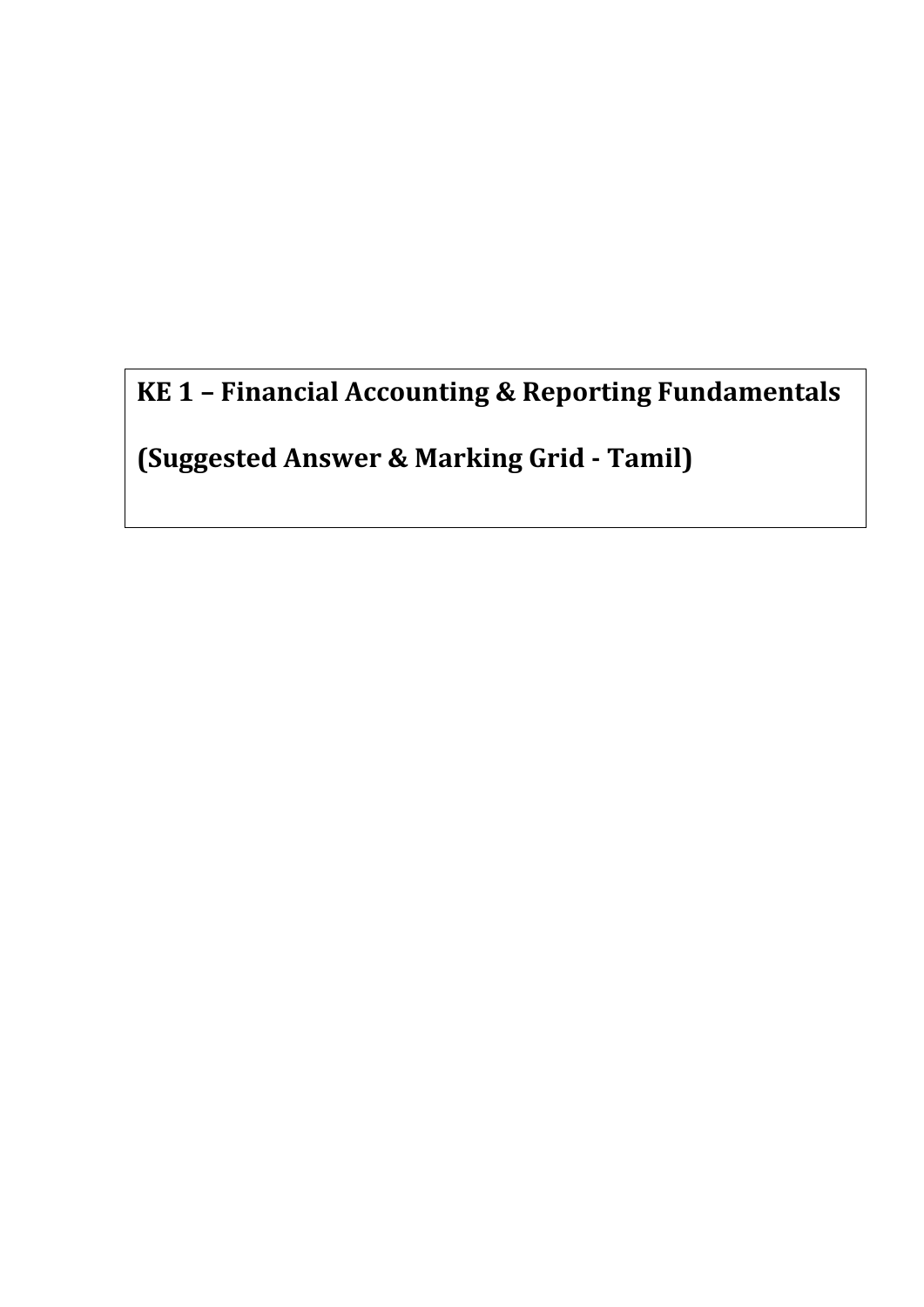**KE 1 – Financial Accounting & Reporting Fundamentals**

**(Suggested Answer & Marking Grid - Tamil)**

**Suggested Answers and Marking Grid**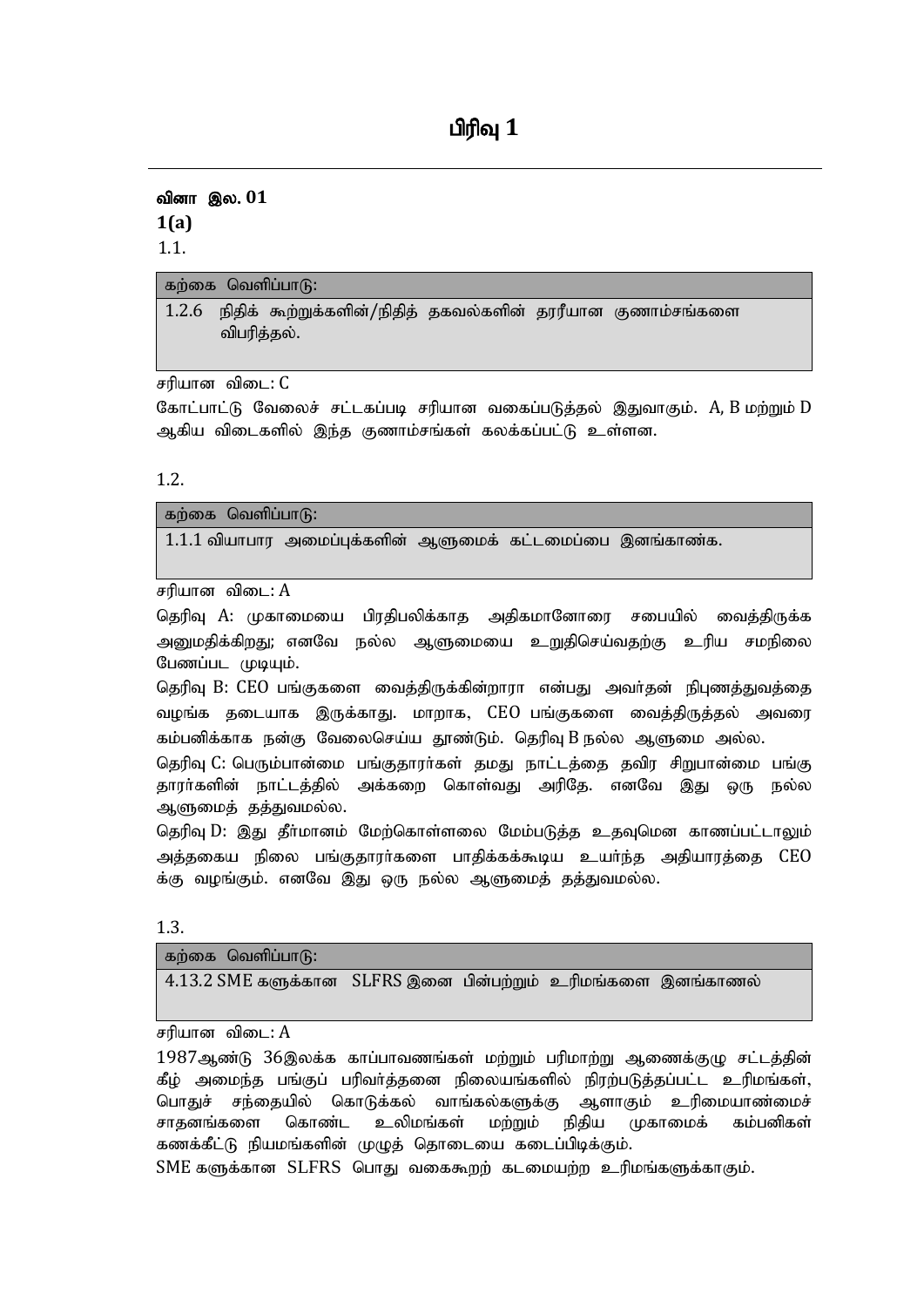# **பிரிவு** 1

வினா இல. 01 **1(a)** 1.1.

| கற்கை வெளிப்பாடு: |             |                                                                   |  |  |  |
|-------------------|-------------|-------------------------------------------------------------------|--|--|--|
|                   |             | 1.2.6 நிதிக் கூற்றுக்களின்/நிதித் தகவல்களின் தரரீயான குணாம்சங்களை |  |  |  |
|                   | விபரித்தல். |                                                                   |  |  |  |

சரியான விடை: C

கோட்பாட்டு வேலைச் சட்டகப்படி சரியான வகைப்படுத்தல் இதுவாகும்.  $\boldsymbol{\mathrm{A}}$ , B மற்றும் D ஆகிய விடைகளில் இந்த குணாம்சங்கள் கலக்கப்பட்டு உள்ளன.

1.2.

கற்கை வெளிப்பா $f$  $1.1.1$  வியாபார அமைப்புக்களின் ஆளுமைக் கட்டமைப்பை இனங்காண்க.

சரியான விடை:  $A$ 

தெரிவு A: முகாமையை பிரதிபலிக்காத அதிகமானோரை சபையில் வைத்திருக்க அனுமதிக்கிறது; எனவே நல்ல ஆளுமையை உறுதிசெய்வதற்கு உரிய சமநிலை பேணப்பட முடியும்.

தெரிவு B: CEO பங்குகளை வைத்திருக்கின்றாரா என்பது அவர்தன் நிபுணத்துவத்தை வழங்க தடையாக இருக்காது. மாறாக, CEO பங்குகளை வைத்திருத்தல் அவரை கம்பனிக்காக நன்கு வேலைசெய்ய தூண்டும். தெரிவு B நல்ல ஆளுமை அல்ல.

தெரிவு C: பெரும்பான்மை பங்குதாரா்கள் தமது நாட்டத்தை தவிர சிறுபான்மை பங்கு தாரா்களின் நாட்டத்தில் அக்கறை கொள்வது அரிதே. எனவே இது ஒரு நல்ல ஆளுமைத் தத்துவமல்ல.

தெரிவு D: இது தீர்மானம் மேற்கொள்ளலை மேம்படுத்த உதவுமென காணப்பட்டாலும் அத்தகைய நிலை பங்குதாரா்களை பாதிக்கக்கூடிய உயா்ந்த அதியாரத்தை  $\rm{CEO}$ க்கு வழங்கும். எனவே இது ஒரு நல்ல ஆளுமைத் தத்துவமல்ல.

1.3.

| கற்கை வெளிப்பாடு: |  |  |
|-------------------|--|--|
|                   |  |  |
|                   |  |  |

சரியான விடை:  $A$ 

 $1987$ ஆண்டு  $36$ இலக்க காப்பாவணங்கள் மற்றும் பரிமாற்று ஆணைக்குழு சட்டத்தின் கீழ் அமைந்த பங்குப் பரிவா்த்தனை நிலையங்களில் நிரற்படுத்தப்பட்ட உரிமங்கள், பொதுச் சந்தையில் கொடுக்கல் வாங்கல்களுக்கு ஆளாகும் உரிமையாண்மைச் சாதனங்களை கொண்ட உலிமங்கள் மற்றும் நிதிய முகாமைக் கம்பனிகள் கணக்கீட்டு நியமங்களின் முழுத் தொடையை கடைப்பிடிக்கும்.

 $SME$  களுக்கான  $SLFRS$  பொது வகைகூறம் கடமையும்ம உரிமங்களுக்காகும்.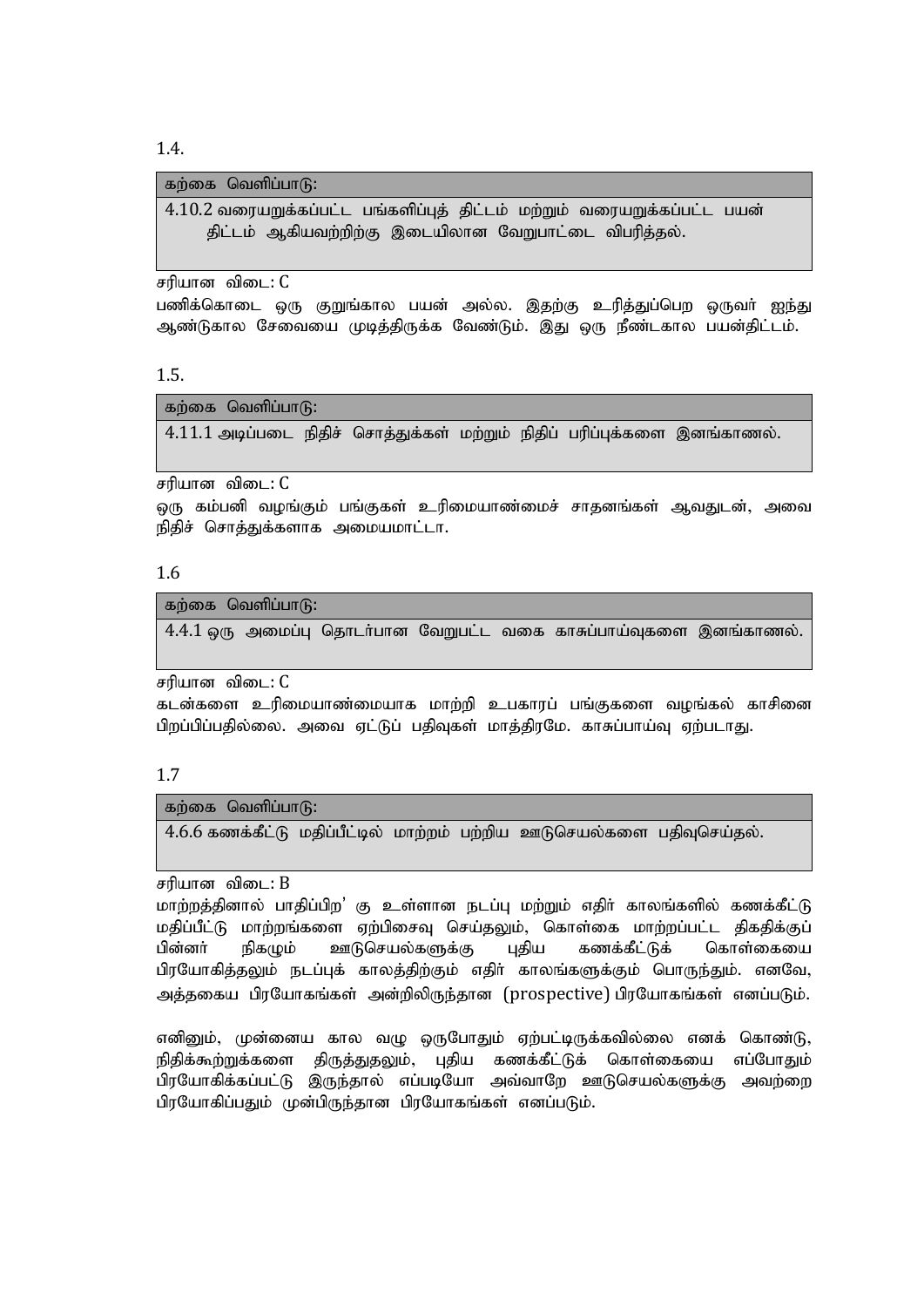1.4.

கற்கை வெளிப்பா $f$ :

 $4.10.2$  வரையறுக்கப்பட்ட பங்களிப்புத் திட்டம் மற்றும் வரையறுக்கப்பட்ட பயன் திட்டம் ஆகியவற்றிற்கு இடையிலான வேறுபாட்டை விபரிக்கல்.

சரியான விடை: C

பணிக்கொடை ஒரு குறுங்கால பயன் அல்ல. இதற்கு உரித்துப்பெற ஒருவா் ஐந்து ஆண்டுகால சேவையை முடித்திருக்க வேண்டும். இது ஒரு நீண்டகால பயன்திட்டம்.

1.5.

கற்கை வெளிப்பா $f$ ி:

 $4.11.1$  அடிப்படை நிதிச் சொத்துக்கள் மற்றும் நிதிப் பரிப்புக்களை இனங்காணல்.

சரியான விடை: C

ஒரு கம்பனி வழங்கும் பங்குகள் உரிமையாண்மைச் சாதனங்கள் ஆவதுடன், அவை நிதிச் சொத்துக்களாக அமையமாட்டா.

#### 1.6

கற்கை வெளிப்பா $f$ 6:  $4.4.1$  ஒரு அமைப்பு தொடர்பான வேறுபட்ட வகை காசுப்பாய்வுகளை இனங்காணல்.

சரியான விடை: C

கடன்களை உரிமையாண்மையாக மாற்றி உபகாரப் பங்குகளை வழங்கல் காசினை பிறப்பிப்பதில்லை. அவை ஏட்டுப் பதிவுகள் மாத்திரமே. காசுப்பாய்வு ஏற்படாது.

1.7

கற்கை வெளிப்பா $f$ 6:

 $4.6.6$  கணக்கீட்டு மதிப்பீட்டில் மாற்றம் பற்றிய ஊடுசெயல்களை பதிவுசெய்தல்.

சரியான விடை:  $B$ 

மாற்றத்தினால் பாதிப்பிற' கு உள்ளான நடப்பு மற்றும் எதிா் காலங்களில் கணக்கீட்டு மதிப்பீட்டு மாற்றங்களை ஏற்பிசைவு செய்தலும், கொள்கை மாற்றப்பட்ட திகதிக்குப் பின்னா் நிகழும் ஊடுசெயல்களுக்கு புதிய கணக்கீட்டுக் கொள்கையை பிரயோகித்தலும் நடப்புக் காலத்திற்கும் எதிா் காலங்களுக்கும் பொருந்தும். எனவே, அக்ககைய பிரயோகங்கள் அன்றிலிருந்தான (prospective) பிரயோகங்கள் எனப்படும்.

எனினும், முன்னைய கால வழு ஒருபோதும் ஏற்பட்டிருக்கவில்லை எனக் கொண்டு, நிதிக்கூற்றுக்களை திருத்துதலும், புதிய கணக்கீட்டுக் கொள்கையை எப்போதும் பிரயோகிக்கப்பட்டு இருந்தால் எப்படியோ அவ்வாறே ஊடுசெயல்களுக்கு அவற்றை பிரயோகிப்பதும் முன்பிருந்தான பிரயோகங்கள் எனப்படும்.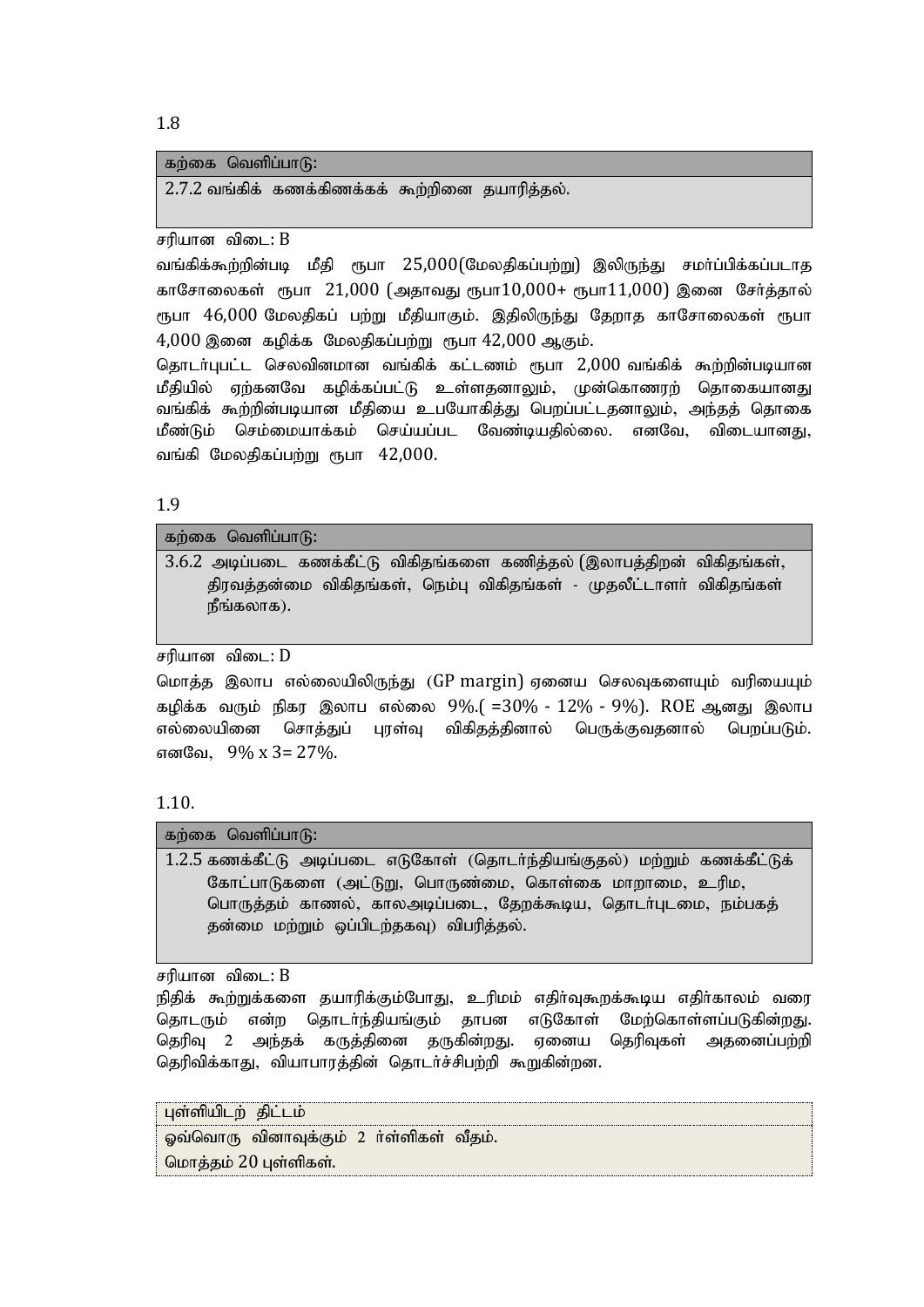#### கற்கை வெளிப்பா $f$ :

 $2.7.2$  வங்கிக் கணக்கிணக்கக் கூற்றினை தயாரித்தல்.

சரியான விடை:  $B$ 

வங்கிக்கூற்றின்படி மீதி ரூபா 25,000(மேலதிகப்பற்று) இலிருந்து சமா்ப்பிக்கப்படாத காசோலைகள் ரூபா 21,000 (அதாவது ரூபா $10,000$ + ரூபா $11,000$ ) இனை சேர்த்தால் ரூபா 46,000 மேலதிகப் பற்று மீதியாகும். இதிலிருந்து தேறாத காசோலைகள் ரூபா  $4,000$  இனை கழிக்க மேலதிகப்பற்று ரூபா  $42,000$  ஆகும்.

தொடர்புபட்ட செலவினமான வங்கிக் கட்டணம் ரூபா 2,000 வங்கிக் கூற்றின்படியான மீதியில் ஏற்கனவே கமிக்கப்பட்டு உள்ளதனாலும், முன்கொணரற் தொகையானது வங்கிக் கூற்றின்படியான மீதியை உபயோகித்து பெறப்பட்டதனாலும், அந்தத் தொகை மீண்டும் செம்மையாக்கம் செய்யப்பட வேண்டியதில்லை. எனவே, விடையானது, வங்கி மேலதிகப்பற்று ரூபா  $42,000$ .

1.9

கற்கை வெளிப்பா $f$  $3.6.2$  அடிப்படை கணக்கீட்டு விகிதங்களை கணித்தல் (இலாபத்திறன் விகிதங்கள், திரவத்தன்மை விகிதங்கள், நெம்பு விகிதங்கள் - முதலீட்டாளர் விகிதங்கள்  $\mathsf{r}_1$ நீங்கலாக).

சரியான விடை:  $D$ 

மொத்த இலாப எல்லையிலிருந்து (GP margin) ஏனைய செலவுகளையும் வரியையும் கழிக்க வரும் நிகர இலாப எல்லை 9%.( =30% - 12% - 9%). ROE ஆனது இலாப எல்லையினை சொத்துப் புரள்வு விகிதத்தினால் பெருக்குவதனால் பெறப்படும். எனவே, 9% x 3= 27%.

#### 1.10.

கற்கை வெளிப்பா $f$ :

1.2.5 கணக்கீட்டு அடிப்படை எடுகோள் (தொடர்ந்தியங்குதல்) மற்றும் கணக்கீட்டுக் கோட்பாடுகளை (அட்டுறு, பொருண்மை, கொள்கை மாறாமை, உரிம, பொருத்தம் காணல், காலஅடிப்படை, தேறக்கூடிய, தொடர்புடமை, நம்பகத் தன்மை மற்றும் ஒப்பிடற்தகவு) விபரித்தல்.

சரியான விடை:  $B$ 

நிதிக் கூற்றுக்களை தயாரிக்கும்போது, உரிமம் எதிர்வுகூறக்கூடிய எதிர்காலம் வரை தொடரும் என்ற தொடர்ந்தியங்கும் தாபன எடுகோள் மேற்கொள்ளப்படுகின்றது. தெரிவு 2 அந்தக் கருத்தினை தருகின்றது. ஏனைய தெரிவுகள் அதனைப்பற்றி கெரிவிக்காகு, வியாபாரக்கின் கொடர்ச்சிபற்றி கூறுகின்றன.

புள்ளியிடற் திட்டம் ஓவ்வொரு வினாவுக்கும் 2 ர்ள்ளிகள் வீதம். மொத்தம் 20 புள்ளிகள்.

1.8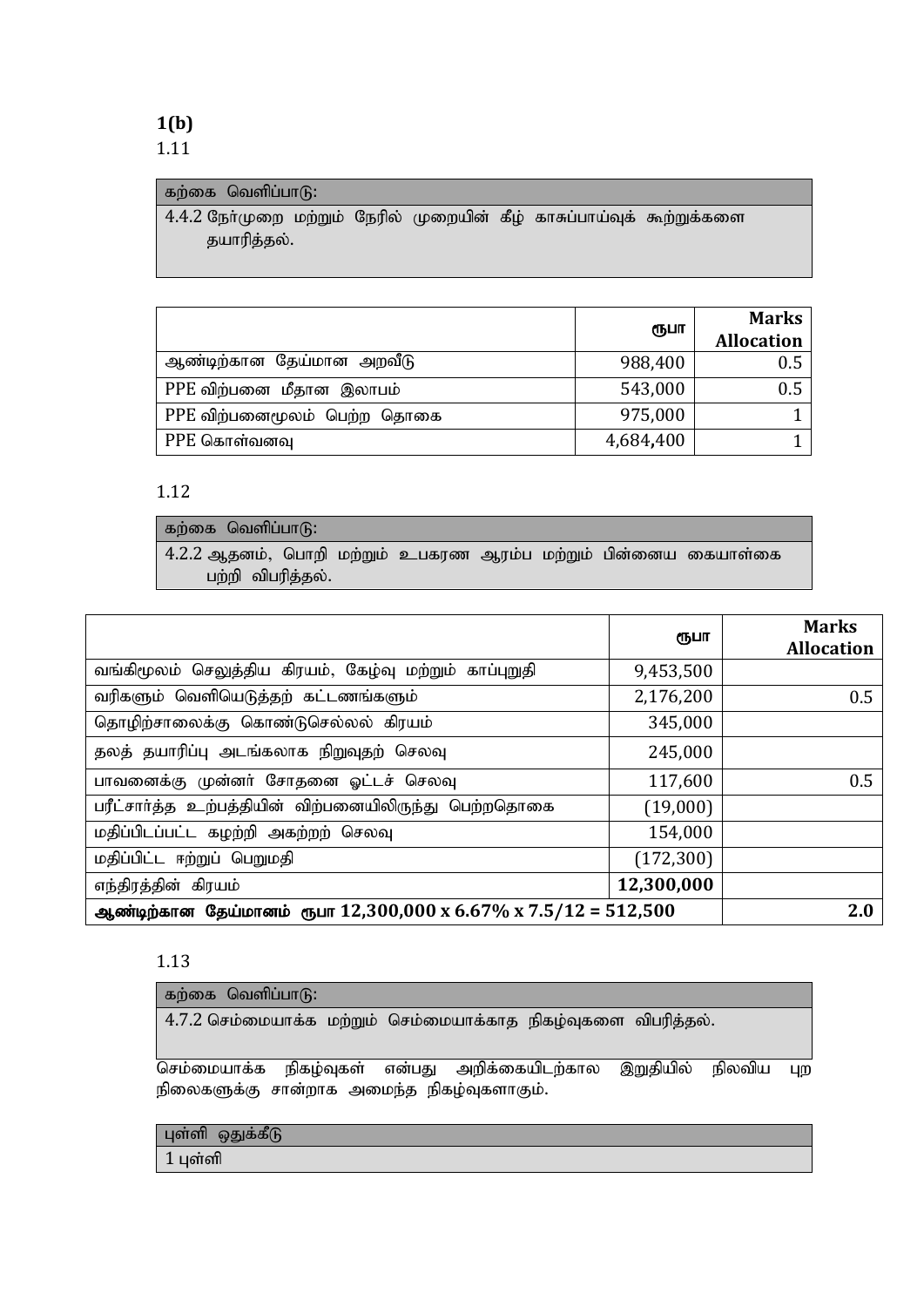**1(b)** 1.11

### கற்கை வெளிப்பா $\delta$ :

 $4.4.2$  நோ்முறை மற்றும் நேரில் முறையின் கீழ் காசுப்பாய்வுக் கூற்றுக்களை தயாரித்தல்.

|                             | ரூபா      | <b>Marks</b><br><b>Allocation</b> |
|-----------------------------|-----------|-----------------------------------|
| ஆண்டிற்கான தேய்மான அறவீடு   | 988,400   | 0.5                               |
| PPE விற்பனை மீதான இலாபம்    | 543,000   | 0.5                               |
| PPE விற்பனைமூலம் பெற்ற தொகை | 975,000   |                                   |
| PPE கொள்வனவு                | 4,684,400 |                                   |

#### 1.12

கற்கை வெளிப்பா $\mathcal{G}$ :  $4.2.2$  ஆதனம், பொறி மற்றும் உபகரண ஆரம்ப மற்றும் பின்னைய கையாள்கை பற்றி விபரித்தல்.

|                                                                                      | ரூபா       | <b>Marks</b><br><b>Allocation</b> |
|--------------------------------------------------------------------------------------|------------|-----------------------------------|
| வங்கிமூலம் செலுத்திய கிரயம், கேழ்வு மற்றும் காப்புறுதி                               | 9,453,500  |                                   |
| வரிகளும் வெளியெடுத்தற் கட்டணங்களும்                                                  | 2,176,200  | 0.5                               |
| தொழிற்சாலைக்கு கொண்டுசெல்லல் கிரயம்                                                  | 345,000    |                                   |
| தலத் தயாரிப்பு அடங்கலாக நிறுவுதற் செலவு                                              | 245,000    |                                   |
| பாவனைக்கு முன்னர் சோதனை ஓட்டச் செலவு                                                 | 117,600    | 0.5                               |
| பரீட்சார்த்த உற்பத்தியின் விற்பனையிலிருந்து பெற்றதொகை                                | (19,000)   |                                   |
| மதிப்பிடப்பட்ட கழற்றி அகற்றற் செலவு                                                  | 154,000    |                                   |
| மதிப்பிட்ட ஈற்றுப் பெறுமதி                                                           | (172, 300) |                                   |
| எந்திரத்தின் கிரயம்                                                                  | 12,300,000 |                                   |
| ஆண்டிற்கான தேய்மானம் ரூபா $12,300,000 \text{ x } 6.67\% \text{ x } 7.5/12 = 512,500$ | 2.0        |                                   |

#### 1.13

| கற்கை வெளிப்பாடு:                                              |  |  |
|----------------------------------------------------------------|--|--|
| 4.7.2 செம்மையாக்க மற்றும் செம்மையாக்காத நிகழ்வுகளை விபரித்தல். |  |  |

செம்மையாக்க நிகழ்வுகள் என்பது அறிக்கையிடற்கால இறுதியில் நிலவிய புற நிலைகளுக்கு சான்றாக அமைந்த நிகழ்வுகளாகும்.

| புள்ளி ஒதுக்கீடு |
|------------------|
|                  |
|                  |

 $1 \mu$ ள்ளி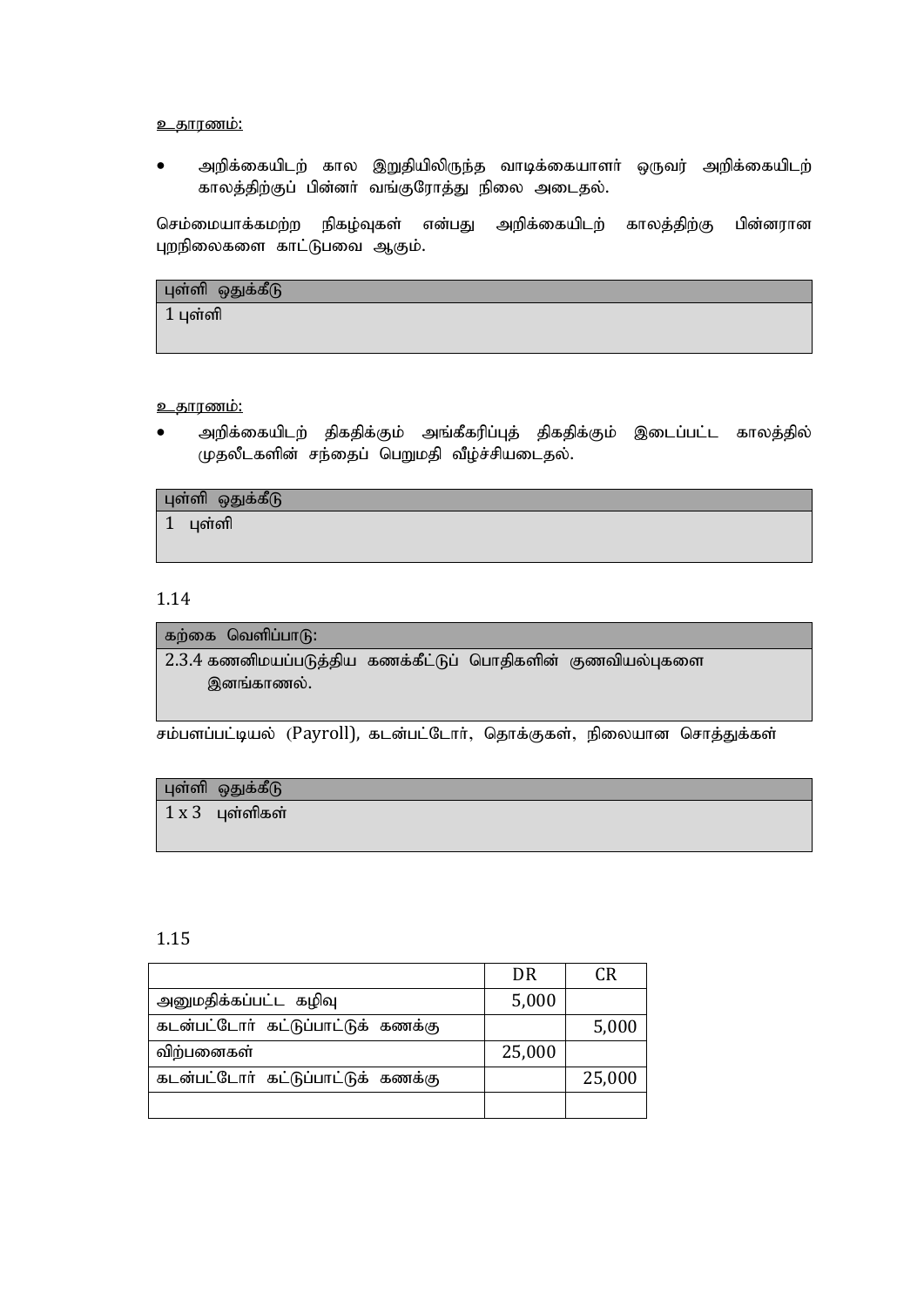#### <u>உதாரணம்:</u>

அறிக்கையிடற் கால இறுதியிலிருந்த வாடிக்கையாளா் ஒருவர் அறிக்கையிடற் காலத்திற்குப் பின்னா் வங்குரோத்து நிலை அடைதல்.

செம்மையாக்கமற்ற நிகழ்வுகள் என்பது அறிக்கையிடற் காலத்திற்கு பின்னரான புறநிலைகளை காட்டுபவை ஆகும்.

| ் புள்ளி ஒதுக்கீடு |  |
|--------------------|--|
| $1 \mu$ ள்ளி       |  |
|                    |  |

#### <u>உகாரணம்:</u>

அறிக்கையிடற் திகதிக்கும் அங்கீகரிப்புத் திகதிக்கும் இடைப்பட்ட காலத்தில் முதலீடகளின் சந்தைப் பெறுமதி வீழ்ச்சியடைதல்.

| புள்ளி ஒதுக்கீடு |
|------------------|
|------------------|

 $1$  புள்ளி

#### 1.14

கற்கை வெளிப்பா $(6)$ :

 $2.3.4$  கணனிமயப்படுத்திய கணக்கீட்டுப் பொதிகளின் குணவியல்புகளை இனங்காணல்.

சம்பளப்பட்டியல் (Payroll), கடன்பட்டோர், தொக்குகள், நிலையான சொத்துக்கள்

### புள்ளி ஒதுக்கீடு

 $1 x 3$  цள்ளிகள்

#### 1.15

|                                    | DR     | <b>CR</b> |
|------------------------------------|--------|-----------|
| அனுமதிக்கப்பட்ட கழிவு              | 5,000  |           |
| கடன்பட்டோர் கட்டுப்பாட்டுக் கணக்கு |        | 5,000     |
| விற்பனைகள்                         | 25,000 |           |
| கடன்பட்டோர் கட்டுப்பாட்டுக் கணக்கு |        | 25,000    |
|                                    |        |           |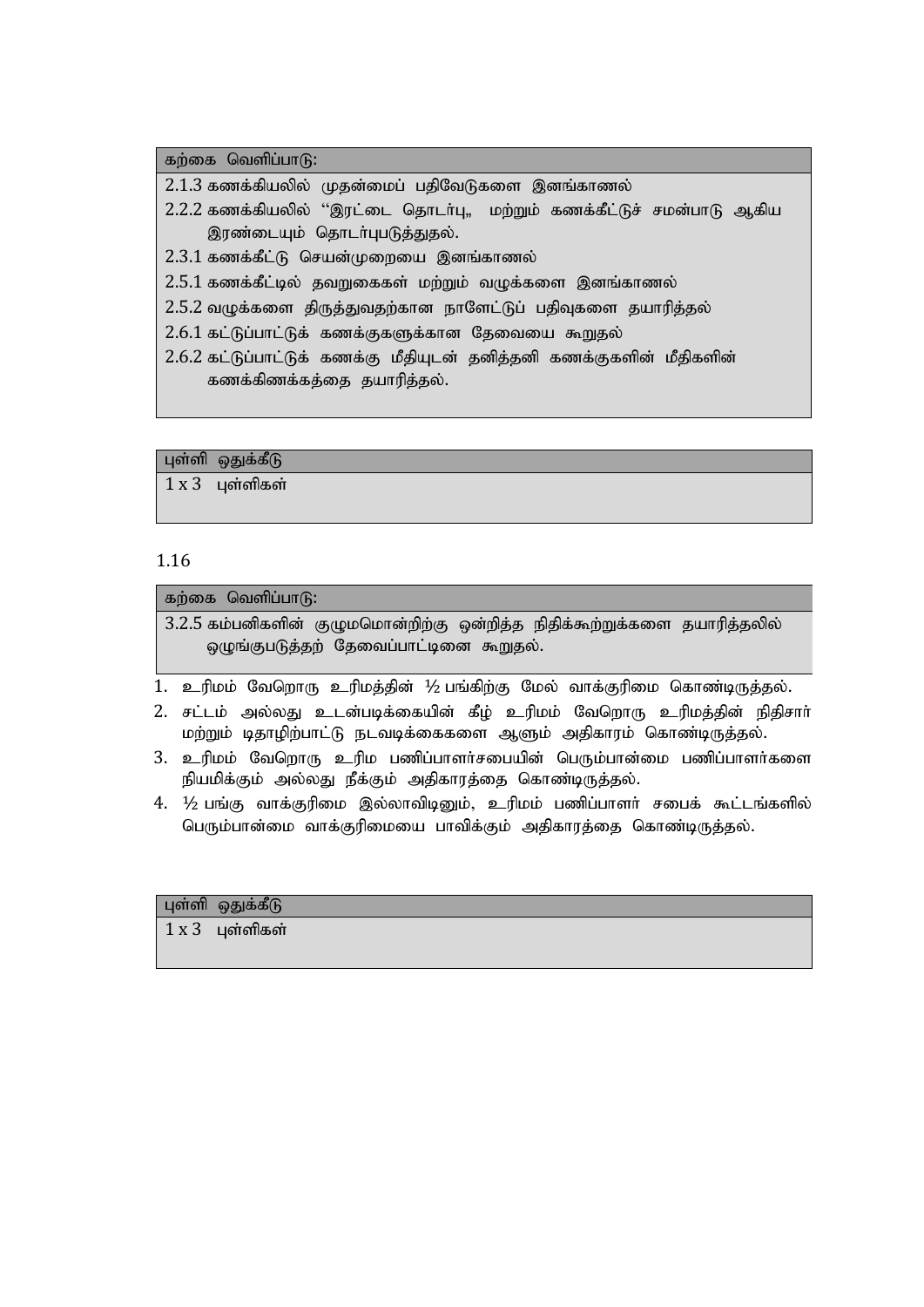கற்கை வெளிப்பா $(f)$ :

 $2.1.3$  கணக்கியலில் முதன்மைப் பதிவேடுகளை இனங்காணல்

- 2.2.2 கணக்கியலில் ''இரட்டை தொடர்பு,, மற்றும் கணக்கீட்டுச் சமன்பாடு ஆகிய இரண்டையும் தொடர்புபடுத்துதல்.
- $2.3.1$  கணக்கீட்டு செயன்முறையை இனங்காணல்

 $2.5.1$  கணக்கீட்டில் கவுறகைகள் மற்றும் வுமுக்களை இனங்காணல்

- $2.5.2$  வழுக்களை திருத்துவதற்கான நாளேட்டுப் பதிவுகளை தயாரித்தல்
- 2.6.1 கட்டுப்பாட்டுக் கணக்குகளுக்கான தேவையை கூறுதல்
- 2.6.2 கட்டுப்பாட்டுக் கணக்கு மீதியுடன் தனித்தனி கணக்குகளின் மீதிகளின் கணக்கிணக்கத்தை தயாரித்தல்.

புள்ளி ஒதுக்கீடு

 $1 x 3$  பள்ளிகள்

#### 1.16

கற்கை வெளிப்பா $f$ ): 3.2.5 கம்பனிகளின் குழுமமொன்றிற்கு ஒன்றித்த நிதிக்கூற்றுக்களை தயாரித்தலில் ஒழுங்குபடுத்தற் தேவைப்பாட்டினை கூறுதல்.

- 1. உரிமம் வேறொரு உரிமத்தின் ½ பங்கிற்கு மேல் வாக்குரிமை கொண்டிருத்தல்.
- 2. சட்டம் அல்லது உடன்படிக்கையின் கீழ் உரிமம் வேறொரு உரிமத்தின் நிதிசார் மற்றும் டிதாழிற்பாட்டு நடவடிக்கைகளை ஆளும் அதிகாரம் கொண்டிருத்தல்.
- 3. உரிமம் வேறொரு உரிம பணிப்பாளர்சபையின் பெரும்பான்மை பணிப்பாளர்களை நியமிக்கும் அல்லது நீக்கும் அதிகாரத்தை கொண்டிருத்தல்.
- $4.$   $\frac{1}{2}$  பங்கு வாக்குரிமை இல்லாவிடினும், உரிமம் பணிப்பாளர் சபைக் கூட்டங்களில் பெரும்பான்மை வாக்குரிமையை பாவிக்கும் அதிகாரத்தை கொண்டிருத்தல்.

#### புள்ளி ஒதுக்கீடு

 $1 x 3$  புள்ளிகள்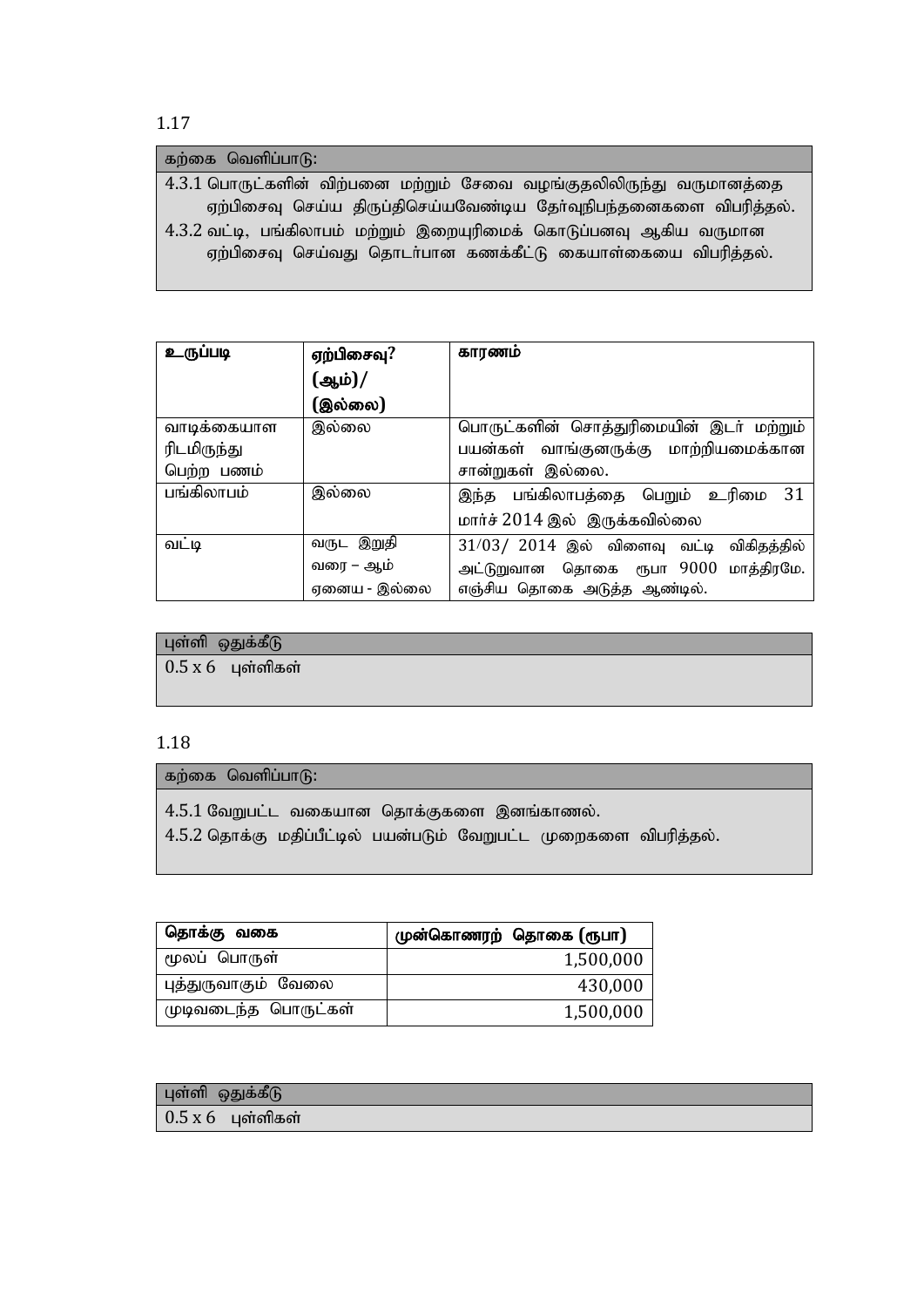| கற்கை வெளிப்பாடு:                                                   |
|---------------------------------------------------------------------|
| 4.3.1 பொருட்களின் விற்பனை மற்றும் சேவை வழங்குதலிலிருந்து வருமானத்தை |
| ஏற்பிசைவு செய்ய திருப்திசெய்யவேண்டிய தேர்வுநிபந்தனைகளை விபரித்தல்.  |
| 4.3.2 வட்டி, பங்கிலாபம் மற்றும் இறையுரிமைக் கொடுப்பனவு ஆகிய வருமான  |
| ஏற்பிசைவு செய்வது தொடா்பான கணக்கீட்டு கையாள்கையை விபரித்தல்.        |
|                                                                     |

| உருப்படி    | ஏற்பிசைவு?   | காரணம்                                       |
|-------------|--------------|----------------------------------------------|
|             | (ஆம்)/       |                                              |
|             | (இல்லை)      |                                              |
| வாடிக்கையாள | இல்லை        | பொருட்களின் சொத்துரிமையின் இடா் மற்றும்      |
| ரிடமிருந்து |              | பயன்கள் வாங்குனருக்கு மாற்றியமைக்கான         |
| பெற்ற பணம்  |              | சான்றுகள் இல்லை.                             |
| பங்கிலாபம்  | இல்லை        | 31<br>இந்த பங்கிலாபத்தை பெறும் உரிமை         |
|             |              | மார்ச் 2014 இல் இருக்கவில்லை                 |
| வட்டி       | வருட இறுதி   | $31/03/$ $2014$ இல் விளைவு வட்டி விகிதத்தில் |
|             | வரை – ஆம்    | அட்டுறுவான தொகை ரூபா 9000 மாத்திரமே.         |
|             | ஏனைய - இல்லை | எஞ்சிய தொகை அடுத்த ஆண்டில்.                  |

## புள்ளி ஒதுக்கீ $\mathfrak{G}% _{ij}^{(k)}(\theta)$

 $0.5 x 6$  புள்ளிகள்

#### 1.18

### கற்கை வெளிப்பா $\mathbf{G}$ :

 $4.5.1$  வேறுபட்ட வகையான தொக்குகளை இனங்காணல்.

 $4.5.2$  தொக்கு மதிப்பீட்டில் பயன்படும் வேறுபட்ட முறைகளை விபரித்தல்.

| தொக்கு வகை           | முன்கொணரற் தொகை (ரூபா) |
|----------------------|------------------------|
| மூலப் பொருள்         | 1,500,000              |
| புத்துருவாகும் வேலை  | 430,000                |
| முடிவடைந்த பொருட்கள் | 1,500,000              |

| புள்ளி ஒதுக்கீடு    |  |
|---------------------|--|
| $0.5 x 6$ புள்ளிகள் |  |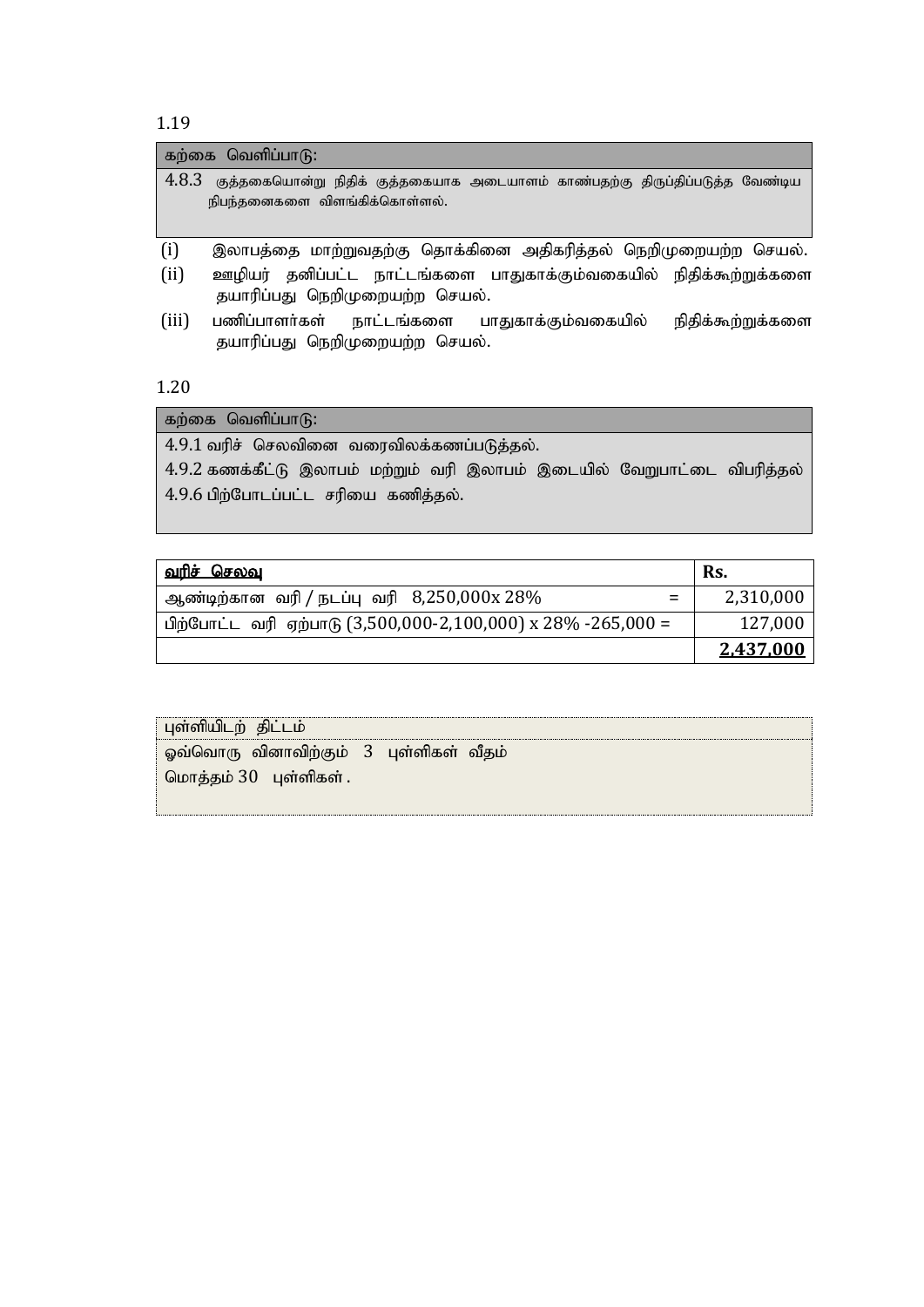|       | கற்கை வெளிப்பாடு:                                                                                             |                   |
|-------|---------------------------------------------------------------------------------------------------------------|-------------------|
| 4.8.3 | குத்தகையொன்று நிதிக் குத்தகையாக அடையாளம் காண்பதற்கு திருப்திப்படுத்த வேண்டிய<br>நிபந்தனைகளை விளங்கிக்கொள்ளல். |                   |
| (i)   | இலாபத்தை மாற்றுவதற்கு தொக்கினை அதிகரித்தல் நெறிமுறையற்ற செயல்.                                                |                   |
| (ii)  | ஊழியர் தனிப்பட்ட நாட்டங்களை பாதுகாக்கும்வகையில் நிதிக்கூற்றுக்களை<br>தயாரிப்பது நெறிமுறையற்ற செயல்.           |                   |
| (iii) | பணிப்பாளர்கள்<br>நாட்டங்களை பாதுகாக்கும்வகையில்<br>தயாரிப்பது நெறிமுறையற்ற செயல்.                             | நிதிக்கூற்றுக்களை |

1.20

கற்கை வெளிப்பா $\mathbf{G}$ :

 $4.9.1$  வரிச் செலவினை வரைவிலக்கணப்படுத்தல்.

 $4.9.2$  கணக்கீட்டு இலாபம் மற்றும் வரி இலாபம் இடையில் வேறுபாட்டை விபரித்தல்  $4.9.6$  பிற்போடப்பட்ட சரியை கணித்தல்.

| <u>வரிச் செலவ</u>                                            | Rs.       |
|--------------------------------------------------------------|-----------|
| ஆண்டிற்கான வரி / நடப்பு வரி $8,250,000$ x $28\%$<br>$\equiv$ | 2,310,000 |
| பிற்போட்ட வரி ஏற்பாடு (3,500,000-2,100,000) x 28% -265,000 = | 127,000   |
|                                                              | 2,437,000 |

| மொத்தம் 30 புள்ளிகள். | ஓவ்வொரு வினாவிற்கும் 3 புள்ளிகள் வீதம் |
|-----------------------|----------------------------------------|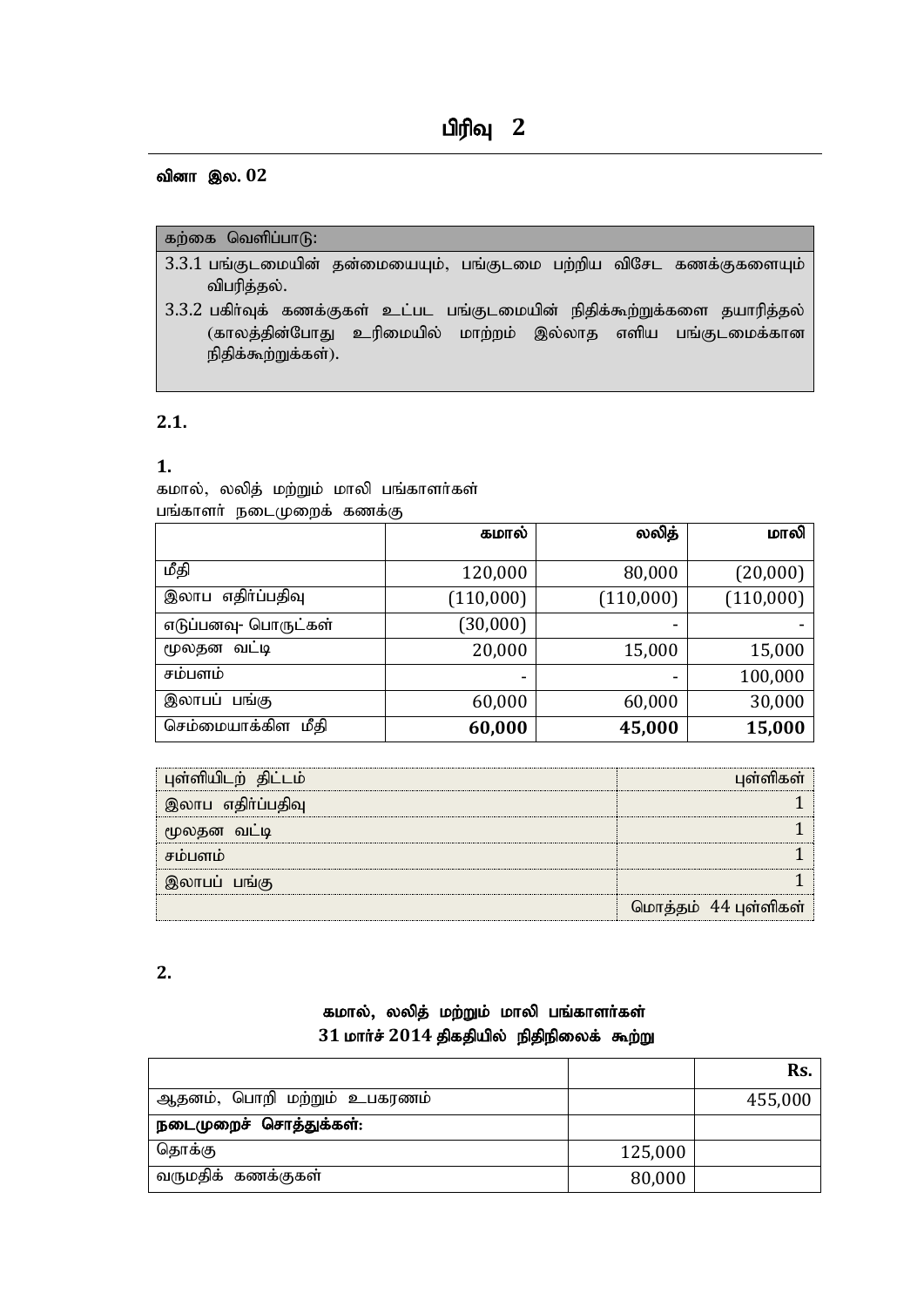## பிரிவு 2

#### வினா இல. 02

#### கற்கை வெளிப்பா $(f)$ :

- 3.3.1 பங்குடமையின் தன்மையையும், பங்குடமை பற்றிய விசேட கணக்குகளையும் விபரித்தல்.
- 3.3.2 பகிர்வுக் கணக்குகள் உட்பட பங்குடமையின் நிதிக்கூற்றுக்களை தயாரித்தல் (காலத்தின்போது உரிமையில் மாற்றம் இல்லாத எளிய பங்குடமைக்கான நிதிக்கூற்றுக்கள்).

#### **2.1.**

#### **1.**

கமால், லலித் மற்றும் மாலி பங்காளர்கள் பங்காளர் நடைமுறைக் கணக்கு

|                      | கமால்     | லலித்     | மாலி      |
|----------------------|-----------|-----------|-----------|
|                      |           |           |           |
| மீதி                 | 120,000   | 80,000    | (20,000)  |
| இலாப எதிர்ப்பதிவு    | (110,000) | (110,000) | (110,000) |
| எடுப்பனவு- பொருட்கள் | (30,000)  | -         |           |
| வட்டி<br>மூலதன       | 20,000    | 15,000    | 15,000    |
| சம்பளம்              |           |           | 100,000   |
| இலாபப் பங்கு         | 60,000    | 60,000    | 30,000    |
| செம்மையாக்கிள மீதி   | 60,000    | 45,000    | 15,000    |

| புள்ளியிடற் திட்டம் | பள்ளிகள்             |
|---------------------|----------------------|
| இலாப எதிர்ப்பதிவு   |                      |
| மூலதன வட்டி         |                      |
| சம்பளம்             |                      |
| இலாபப் பங்கு        |                      |
|                     | மொத்தம் 44 புள்ளிகள் |

#### **2.**

### கமால், லலித் மற்றும் மாலி பங்காளர்கள்  $31$  மார்ச்  $2014$  திகதியில் நிதிநிலைக் கூற்று

|                             |         | Rs.     |
|-----------------------------|---------|---------|
| ஆதனம், பொறி மற்றும் உபகரணம் |         | 455,000 |
| நடைமுறைச் சொத்துக்கள்:      |         |         |
| தொக்கு                      | 125,000 |         |
| வருமதிக் கணக்குகள்          | 80,000  |         |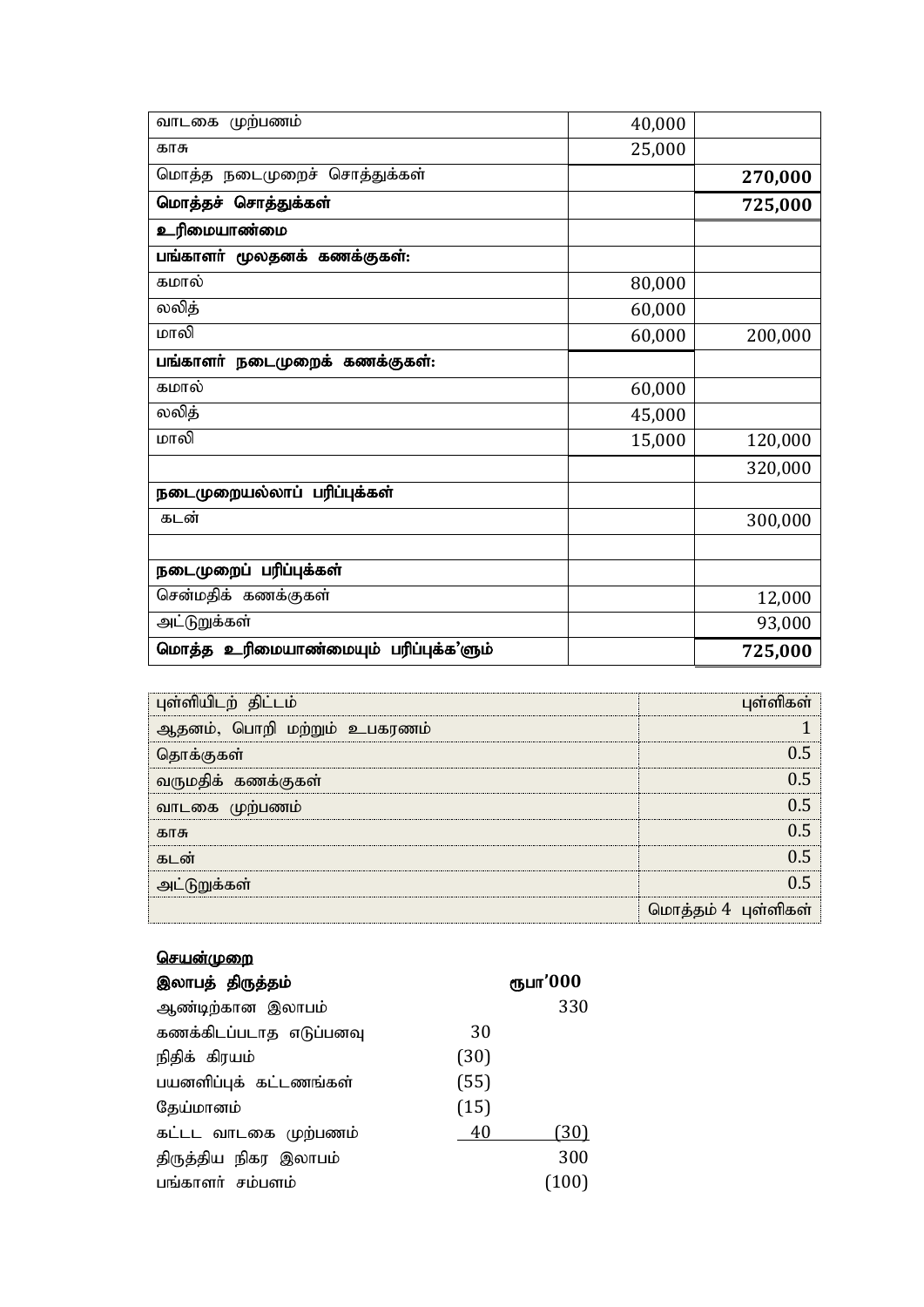| வாடகை முற்பணம்                        | 40,000 |         |
|---------------------------------------|--------|---------|
| காசு                                  | 25,000 |         |
| மொத்த நடைமுறைச் சொத்துக்கள்           |        | 270,000 |
| மொத்தச் சொத்துக்கள்                   |        | 725,000 |
| உரிமையாண்மை                           |        |         |
| பங்காளர் மூலதனக் கணக்குகள்:           |        |         |
| கமால்                                 | 80,000 |         |
| லலித்                                 | 60,000 |         |
| மாலி                                  | 60,000 | 200,000 |
| பங்காளர் நடைமுறைக் கணக்குகள்:         |        |         |
| கமால்                                 | 60,000 |         |
| லலித்                                 | 45,000 |         |
| மாலி                                  | 15,000 | 120,000 |
|                                       |        | 320,000 |
| நடைமுறையல்லாப் பரிப்புக்கள்           |        |         |
| கடன்                                  |        | 300,000 |
|                                       |        |         |
| நடைமுறைப் பரிப்புக்கள்                |        |         |
| சென்மதிக் கணக்குகள்                   |        | 12,000  |
| அட்டுறுக்கள்                          |        | 93,000  |
| மொத்த உரிமையாண்மையும் பரிப்புக்க'ளும் |        | 725,000 |

| புள்ளியிடற் திட்டம்         | பள்ளிகள்            |
|-----------------------------|---------------------|
| ஆதனம், பொறி மற்றும் உபகரணம் |                     |
| தொக்குகள்                   |                     |
| வருமதிக் கணக்குகள்          |                     |
| வாடகை முற்பணம்              |                     |
| காசு                        |                     |
| கடன்                        |                     |
| அட்டுறுக்கள்                |                     |
|                             | மொத்தம் 4 புள்ளிகள் |

### <u>செயன்முறை</u>

| இலாபத் திருத்தம்        |      | ரூபா'000 |
|-------------------------|------|----------|
| ஆண்டிற்கான இலாபம்       |      | 330      |
| கணக்கிடப்படாத எடுப்பனவு | 30   |          |
| நிதிக் கிரயம்           | (30) |          |
| பயனளிப்புக் கட்டணங்கள்  | (55) |          |
| தேய்மானம்               | (15) |          |
| கட்டட வாடகை முற்பணம்    | 40   | (30)     |
| திருத்திய நிகர இலாபம்   |      | 300      |
| பங்காளர் சம்பளம்        |      | (100)    |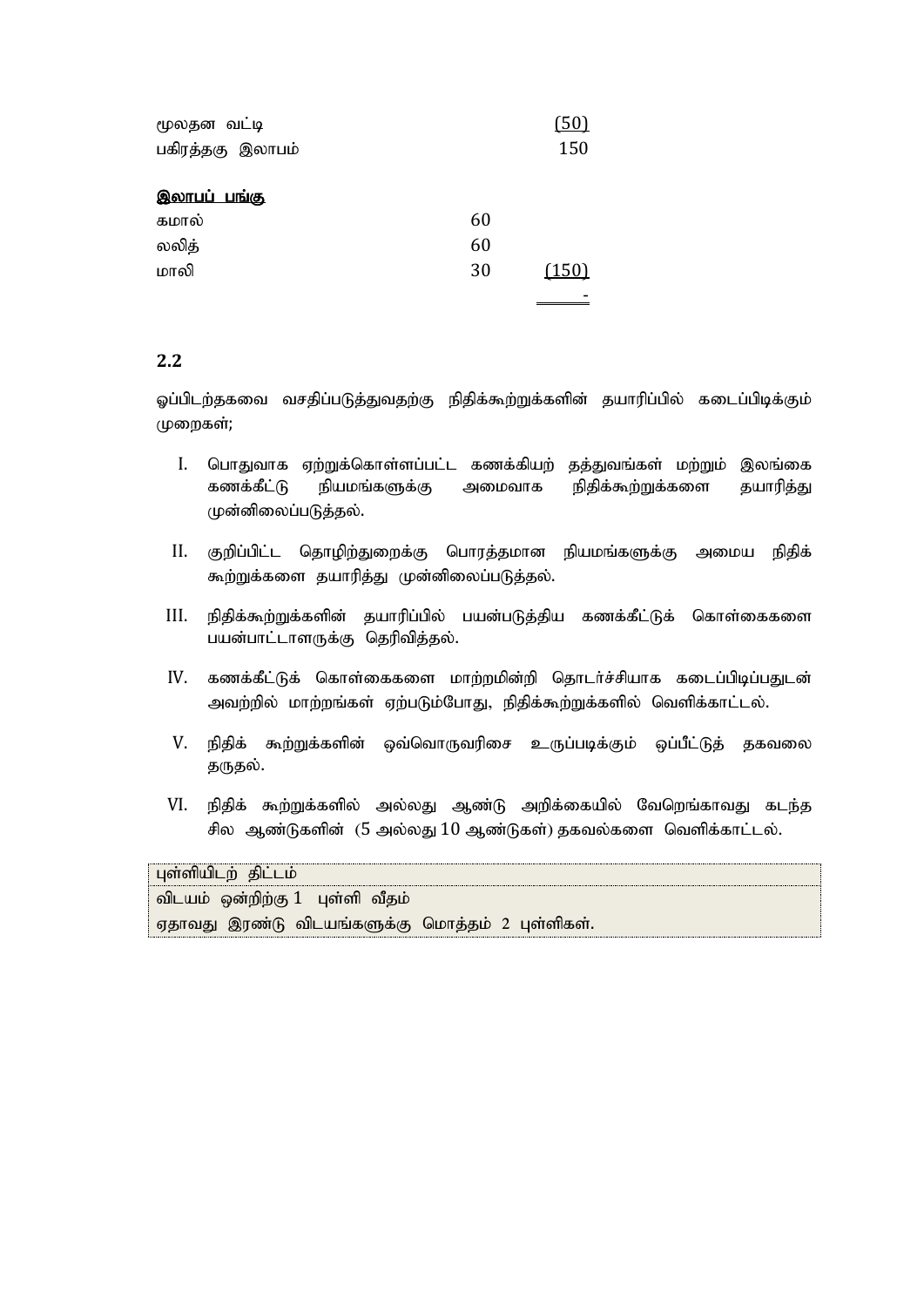| மூலதன வட்டி         |    |       |
|---------------------|----|-------|
| பகிரத்தகு இலாபம்    |    | 150   |
| <u>இலாபப் பங்கு</u> |    |       |
| கமால்               | 60 |       |
| லலித்               | 60 |       |
| மாலி                | 30 | (150) |
|                     |    |       |

ஓப்பிடற்தகவை வசதிப்படுத்துவதற்கு நிதிக்கூற்றுக்களின் தயாரிப்பில் கடைப்பிடிக்கும் (முறைகள்;

- I. பொதுவாக ஏற்றுக்கொள்ளப்பட்ட கணக்கியற் தத்துவங்கள் மற்றும் இலங்கை கணக்கீட்டு நியமங்களுக்கு அமைவாக நிதிக்கூற்றுக்களை தயாரித்<u>து</u> முன்னிலைப்படுத்தல்.
- II. குறிப்பிட்ட தொழிற்துறைக்கு பொரத்தமான நியமங்களுக்கு அமைய நிதிக் கூற்றுக்களை தயாரித்து முன்னிலைப்படுத்தல்.
- III. நிதிக்கூற்றுக்களின் தயாரிப்பில் பயன்படுத்திய கணக்கீட்டுக் கொள்கைகளை பயன்பாட்டாளருக்கு தெரிவித்தல்.
- IV. கணக்கீட்டுக் கொள்கைகளை மாற்றமின்றி தொடர்ச்சியாக கடைப்பிடிப்பதுடன் அவற்றில் மாற்றங்கள் ஏற்படும்போது, நிதிக்கூற்றுக்களில் வெளிக்காட்டல்.
- V. நிதிக் கூற்றுக்களின் ஒவ்வொருவரிசை உருப்படிக்கும் ஒப்பீட்டுத் தகவலை தருதல்.
- VI. நிதிக் கூற்றுக்களில் அல்லது ஆண்டு அறிக்கையில் வேறெங்காவது கடந்த சில ஆண்டுகளின் (5 அல்லது  $10$  ஆண்டுகள்) தகவல்களை வெளிக்காட்டல்.

| புள்ளியிடற் திட்டம்                              |  |
|--------------------------------------------------|--|
| விடயம் ஒன்றிற்கு 1  புள்ளி வீதம்                 |  |
| ஏதாவது இரண்டு விடயங்களுக்கு மொத்தம் 2 புள்ளிகள். |  |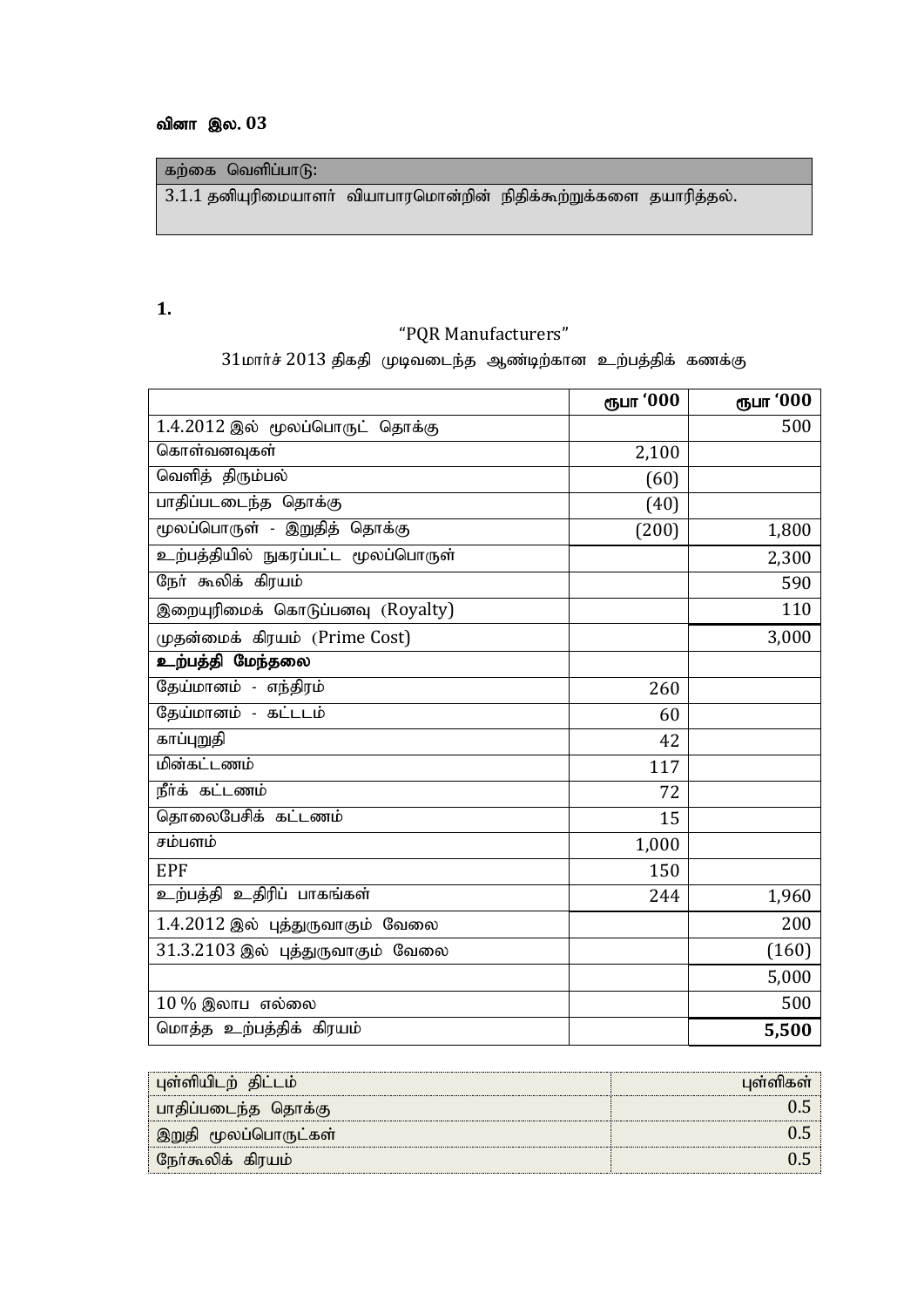### வினா இல. 03

கற்கை வெளிப்பா $\delta$ :

 $3.1.1$  தனியுரிமையாளா் வியாபாரமொன்றின் நிதிக்கூற்றுக்களை தயாரித்தல்.

### **1.**

### "PQR Manufacturers"

 $31$ மார்ச் 2013 திகதி முடிவடைந்த ஆண்டிற்கான உற்பத்திக் கணக்கு

|                                     | ரூபா '000 | ரூபா '000 |
|-------------------------------------|-----------|-----------|
| 1.4.2012 இல் மூலப்பொருட் தொக்கு     |           | 500       |
| கொள்வனவுகள்                         | 2,100     |           |
| வெளித் திரும்பல்                    | (60)      |           |
| பாதிப்படடைந்த தொக்கு                | (40)      |           |
| மூலப்பொருள் - இறுதித் தொக்கு        | (200)     | 1,800     |
| உற்பத்தியில் நுகரப்பட்ட மூலப்பொருள் |           | 2,300     |
| நேர் கூலிக் கிரயம்                  |           | 590       |
| இறையுரிமைக் கொடுப்பனவு (Royalty)    |           | 110       |
| முதன்மைக் கிரயம் (Prime Cost)       |           | 3,000     |
| உற்பத்தி மேந்தலை                    |           |           |
| தேய்மானம் - எந்திரம்                | 260       |           |
| தேய்மானம் - கட்டடம்                 | 60        |           |
| காப்புறுதி                          | 42        |           |
| மின்கட்டணம்                         | 117       |           |
| நீர்க் கட்டணம்                      | 72        |           |
| தொலைபேசிக் கட்டணம்                  | 15        |           |
| சம்பளம்                             | 1,000     |           |
| <b>EPF</b>                          | 150       |           |
| உற்பத்தி உதிரிப் பாகங்கள்           | 244       | 1,960     |
| 1.4.2012 இல் புத்துருவாகும் வேலை    |           | 200       |
| 31.3.2103 இல் புத்துருவாகும் வேலை   |           | (160)     |
|                                     |           | 5,000     |
| $10\,\%$ இலாப எல்லை                 |           | 500       |
| மொத்த உற்பத்திக் கிரயம்             |           | 5,500     |

| புள்ளியிடற் திட்டம்  | பள்ளிகள் |
|----------------------|----------|
| பாதிப்படைந்த தொக்கு  |          |
| இறுதி மூலப்பொருட்கள் |          |
| நேர்கூலிக் கிரயம்    |          |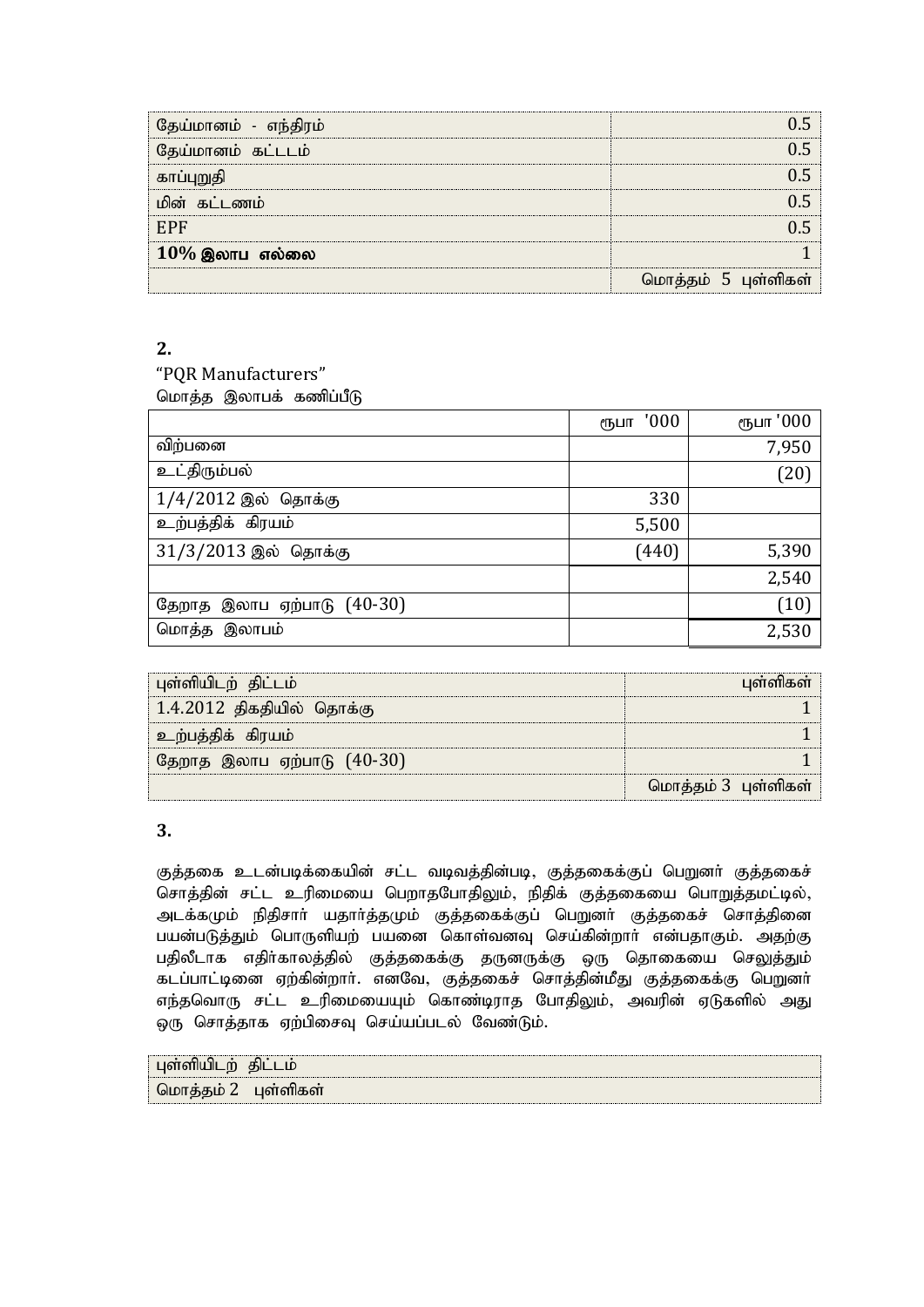| தேய்மானம் - எந்திரம் |                     |
|----------------------|---------------------|
| தேய்மானம் கட்டடம்    |                     |
| காப்புறுதி           |                     |
| மின் கட்டணம்         |                     |
| EPF                  |                     |
| $10\%$ இலாப எல்லை    |                     |
|                      | மொத்தம் 5 புள்ளிகள் |

"PQR Manufacturers" மொத்த இலாபக் கணிப்பீடு

|                              | '000<br>ரூபா | ரூபா '000 |
|------------------------------|--------------|-----------|
| விற்பனை                      |              | 7,950     |
| உட்திரும்பல்                 |              | (20)      |
| $1/4/2012$ இல் தொக்கு        | 330          |           |
| உற்பத்திக் கிரயம்            | 5,500        |           |
| $31/3/2013$ இல் தொக்கு       | (440)        | 5,390     |
|                              |              | 2,540     |
| தேறாத இலாப ஏற்பாடு $(40-30)$ |              | (10)      |
| மொத்த இலாபம்                 |              | 2,530     |

| புள்ளியிடற் திட்டம்          | புள்ளிகள்           |
|------------------------------|---------------------|
| 1.4.2012 திகதியில் தொக்கு    |                     |
| உற்பத்திக் கிரயம்            |                     |
| தேறாத இலாப ஏற்பாடு $(40-30)$ |                     |
|                              | மொத்தம் 3 புள்ளிகள் |

### **3.**

குத்தகை உடன்படிக்கையின் சட்ட வடிவத்தின்படி, குத்தகைக்குப் பெறுனர் குத்தகைச் சொத்தின் சட்ட உரிமையை பெறாதபோதிலும், நிதிக் குத்தகையை பொறுத்தமட்டில், அடக்கமும் நிதிசாா் யதாா்த்தமும் குத்தகைக்குப் பெறுனா் குத்தகைச் சொத்தினை பயன்படுத்தும் பொருளியற் பயனை கொள்வனவு செய்கின்றார் என்பதாகும். அதற்கு பதிலீடாக எதிர்காலத்தில் குத்தகைக்கு தருனருக்கு ஒரு தொகையை செலுத்தும் கடப்பாட்டினை ஏற்கின்றார். எனவே, குத்தகைச் சொத்தின்மீது குத்தகைக்கு பெறுனர் எந்தவொரு சட்ட உரிமையையும் கொண்டிராத போதிலும், அவரின் ஏடுகளில் அது ஒரு சொத்தாக ஏற்பிசைவு செய்யப்படல் வேண்டும்.

| புள்ளியிட<br>m          | கிப |
|-------------------------|-----|
| ் மொத்தம் 2   புள்ளிகள் |     |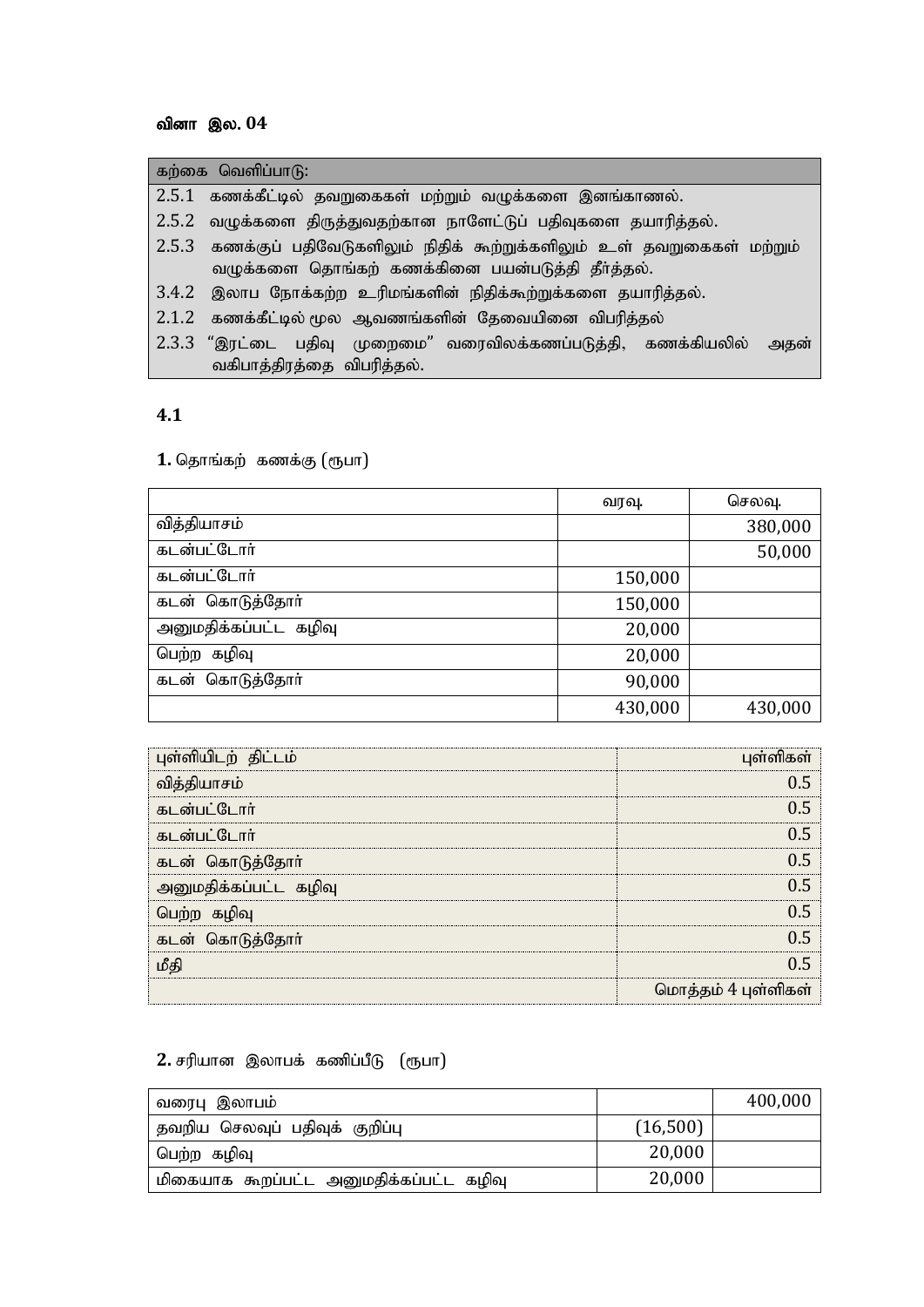### வினா இல. 04

| கற்கை வெளிப்பாடு:                                                          |
|----------------------------------------------------------------------------|
| 2.5.1 கணக்கீட்டில் தவறுகைகள் மற்றும் வழுக்களை இனங்காணல்.                   |
| 2.5.2 வழுக்களை திருத்துவதற்கான நாளேட்டுப் பதிவுகளை தயாரித்தல்.             |
| 2.5.3 கணக்குப் பதிவேடுகளிலும் நிதிக் கூற்றுக்களிலும் உள் தவறுகைகள் மற்றும் |
| வழுக்களை தொங்கற் கணக்கினை பயன்படுத்தி தீா்த்தல்.                           |
| 3.4.2 இலாப நோக்கற்ற உரிமங்களின் நிதிக்கூற்றுக்களை தயாரித்தல்.              |
| 2.1.2 கணக்கீட்டில் மூல ஆவணங்களின் தேவையினை விபரித்தல்                      |
| 2.3.3 "இரட்டை பதிவு முறைமை" வரைவிலக்கணப்படுத்தி, கணக்கியலில்<br>அதன்       |
| வகிபாத்திரத்தை விபரித்தல்.                                                 |

#### **4.1**

1. தொங்கற் கணக்கு (ரூபா)

|                       | வரவு.   | செலவு.  |
|-----------------------|---------|---------|
| வித்தியாசம்           |         | 380,000 |
| கடன்பட்டோர்           |         | 50,000  |
| கடன்பட்டோர்           | 150,000 |         |
| கடன் கொடுத்தோர்       | 150,000 |         |
| அனுமதிக்கப்பட்ட கழிவு | 20,000  |         |
| கழிவு<br>பெற்ற        | 20,000  |         |
| கடன் கொடுத்தோர்       | 90,000  |         |
|                       | 430,000 | 430,000 |

| புள்ளியிடற் திட்டம்   | புள்ளிகள்           |
|-----------------------|---------------------|
| வித்தியாசம்           |                     |
| கடன்பட்டோர்           |                     |
| கடன்பட்டோர்           |                     |
| கடன் கொடுத்தோர்       |                     |
| அனுமதிக்கப்பட்ட கழிவு |                     |
| பெற்ற கழிவு           |                     |
| கடன் கொடுத்தோர்       |                     |
| மீகி                  |                     |
|                       | மொத்தம் 4 புள்ளிகள் |

### $2.$  சரியான இலாபக் கணிப்பீடு (ரூபா)

| ுவரைபு இலாபம்                           |          | 400,000 |
|-----------------------------------------|----------|---------|
| தவறிய செலவுப் பதிவுக் குறிப்பு          | (16,500) |         |
| பெற்ற கழிவு                             | 20,000   |         |
| மிகையாக கூறப்பட்ட அனுமதிக்கப்பட்ட கழிவு | 20,000   |         |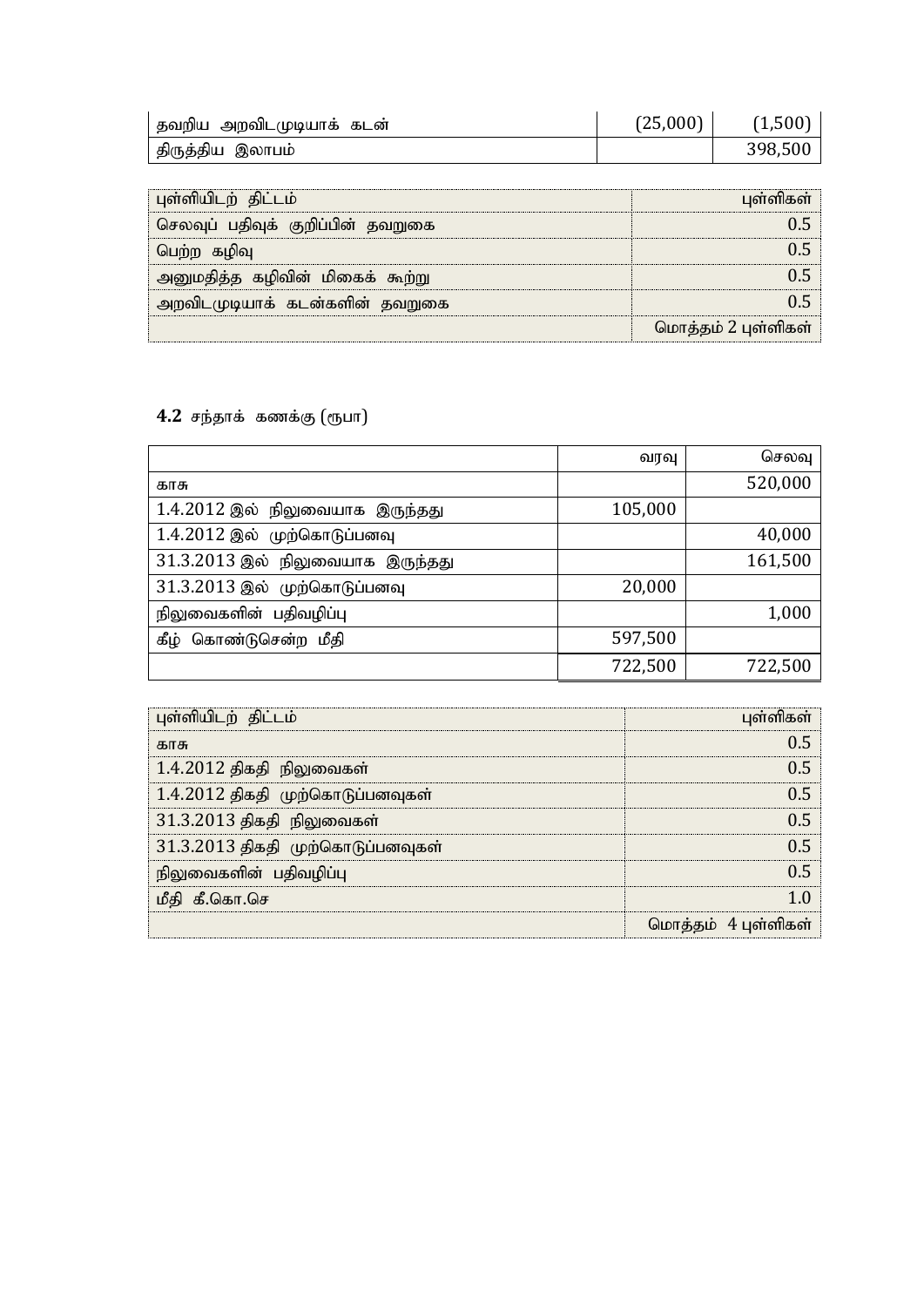| தவறிய அறவிடமுடியாக் கடன் | (25,000) | (1,500) |
|--------------------------|----------|---------|
| திருத்திய இலாபம்         |          | 398,500 |

| புள்ளியிடற் திட்டம்               | பள்ளிகள்            |
|-----------------------------------|---------------------|
| செலவுப் பதிவுக் குறிப்பின் தவறுகை |                     |
| பெற்ற கழிவு                       |                     |
| அனுமதித்த கழிவின் மிகைக் கூற்று   |                     |
| அறவிடமுடியாக் கடன்களின் தவறுகை    |                     |
|                                   | மொத்தம் 2 புள்ளிகள் |

4.2 சந்தாக் கணக்கு (ரூபா)

|                                  | வரவு    | செலவு   |
|----------------------------------|---------|---------|
| காசு                             |         | 520,000 |
| 1.4.2012 இல் நிலுவையாக இருந்தது  | 105,000 |         |
| 1.4.2012 இல் முற்கொடுப்பனவு      |         | 40,000  |
| 31.3.2013 இல் நிலுவையாக இருந்தது |         | 161,500 |
| 31.3.2013 இல் முற்கொடுப்பனவு     | 20,000  |         |
| நிலுவைகளின் பதிவழிப்பு           |         | 1,000   |
| கீம்<br>கொண்டுசென்ற மீதி         | 597,500 |         |
|                                  | 722,500 | 722,500 |

| புள்ளியிடற் திட்டம்               | பள்ளிகள்            |
|-----------------------------------|---------------------|
| காசு                              |                     |
| $1.4.2012$ திகதி நிலுவைகள்        |                     |
| 1.4.2012 திகதி முற்கொடுப்பனவுகள்  |                     |
| 31.3.2013 திகதி நிலுவைகள்         |                     |
| 31.3.2013 திகதி முற்கொடுப்பனவுகள் |                     |
| நிலுவைகளின் பதிவழிப்பு            |                     |
| மீதி கீ.கொ.செ                     |                     |
|                                   | மொத்தம் 4 புள்ளிகள் |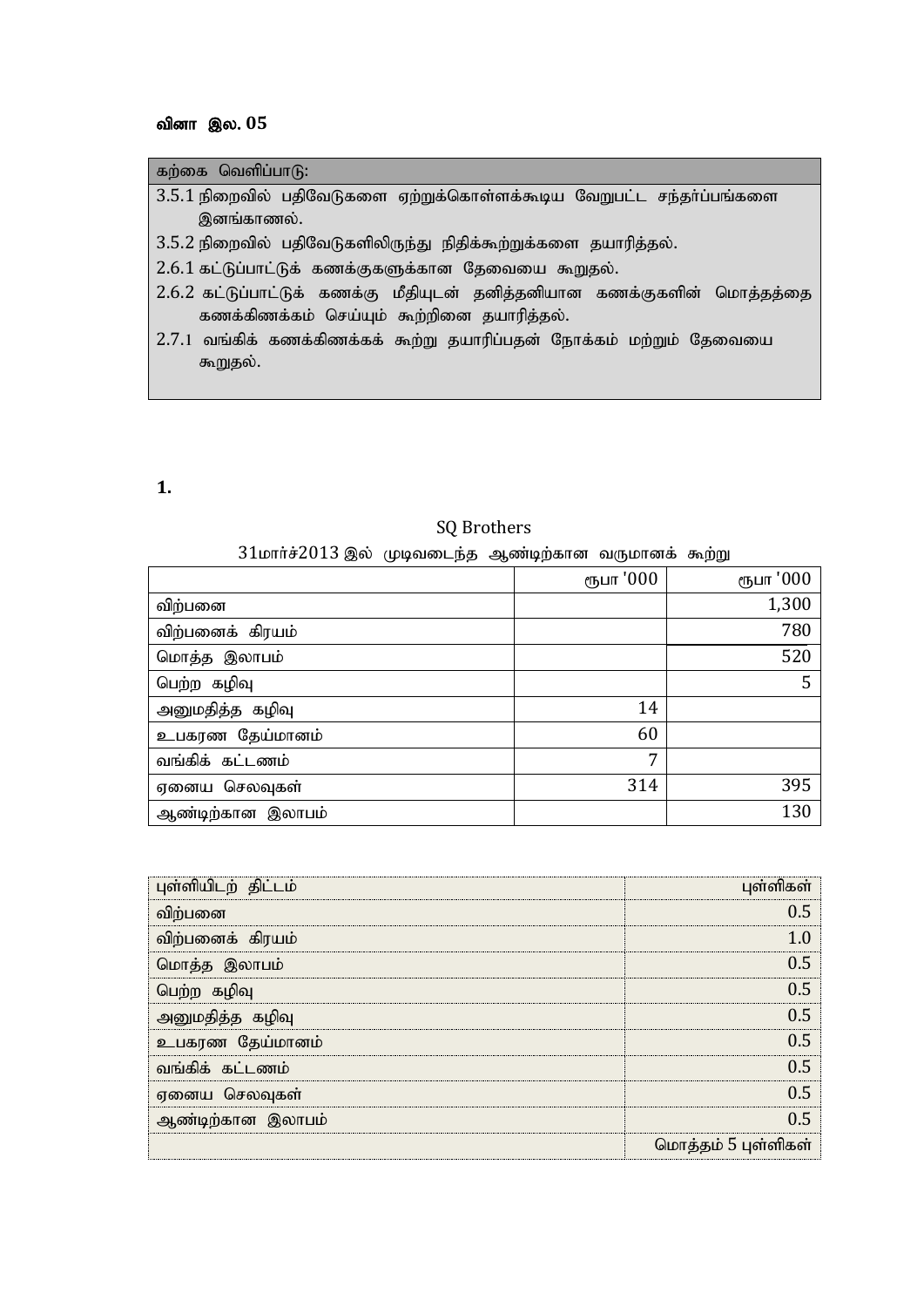## வினா இல. 05

| கற்கை வெளிப்பாடு:                                                                                                      |
|------------------------------------------------------------------------------------------------------------------------|
| 3.5.1 நிறைவில் பதிவேடுகளை ஏற்றுக்கொள்ளக்கூடிய வேறுபட்ட சந்தா்ப்பங்களை                                                  |
| இனங்காணல்.                                                                                                             |
| 3.5.2 நிறைவில் பதிவேடுகளிலிருந்து நிதிக்கூற்றுக்களை தயாரித்தல்.                                                        |
| 2.6.1 கட்டுப்பாட்டுக் கணக்குகளுக்கான தேவையை கூறுதல்.                                                                   |
| 2.6.2 கட்டுப்பாட்டுக் கணக்கு மீதியுடன் தனித்தனியான கணக்குகளின் மொத்தத்தை<br>கணக்கிணக்கம் செய்யும் கூற்றினை தயாரித்தல். |
| 2.7.1 வங்கிக் கணக்கிணக்கக் கூற்று தயாரிப்பதன் நோக்கம் மற்றும் தேவையை                                                   |
| கூறுதல்.                                                                                                               |
|                                                                                                                        |

**1.** 

# SQ Brothers

### $31$ மார்ச் $2013$  இல் முடிவடைந்த ஆண்டிற்கான வருமானக் கூற்று

|                   | ரூபா '000 | ரூபா '000 |
|-------------------|-----------|-----------|
| விற்பனை           |           | 1,300     |
| விற்பனைக் கிரயம்  |           | 780       |
| மொத்த இலாபம்      |           | 520       |
| பெற்ற கழிவு       |           | 5         |
| அனுமதித்த கழிவு   | 14        |           |
| உபகரண தேய்மானம்   | 60        |           |
| வங்கிக் கட்டணம்   | 7         |           |
| ஏனைய செலவுகள்     | 314       | 395       |
| ஆண்டிற்கான இலாபம் |           | 130       |

| புள்ளியிடற் திட்டம் | பள்ளிகள்            |
|---------------------|---------------------|
| விற்பனை             |                     |
| விற்பனைக் கிரயம்    |                     |
| மொத்த இலாபம்        | () 5                |
| பெற்ற கழிவு         | 0 5                 |
| அனுமதித்த கழிவு     | () 5                |
| உபகரண தேய்மானம்     | 0 5                 |
| வங்கிக் கட்டணம்     | በ 5                 |
| ஏனைய செலவுகள்       | በ 5                 |
| ஆண்டிற்கான இலாபம்   | በ 5                 |
|                     | மொத்தம் 5 புள்ளிகள் |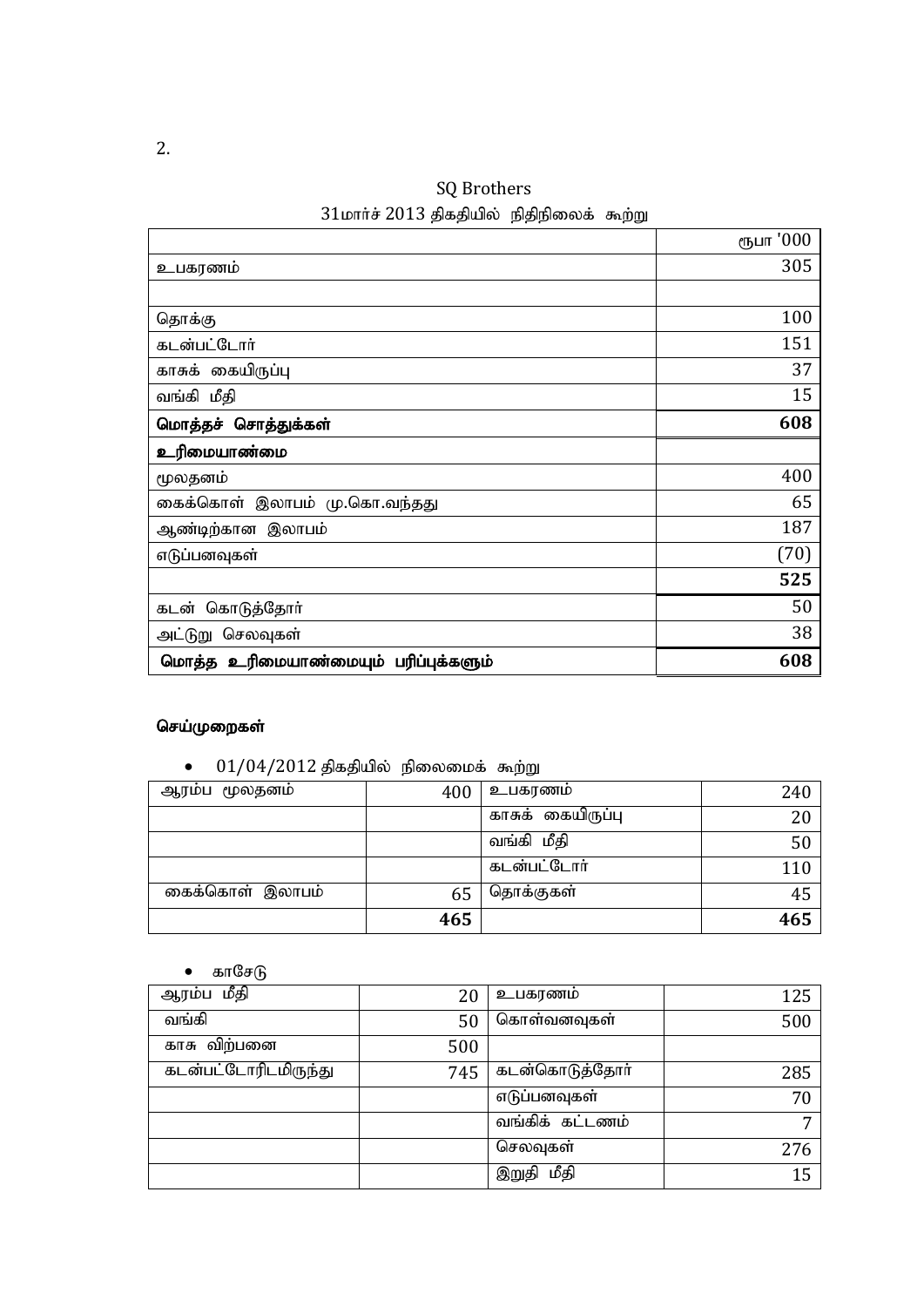SQ Brothers  $31$ மார்ச்  $2013$  திகதியில் நிதிநிலைக் கூற்று

|                                      | ரூபா '000 |
|--------------------------------------|-----------|
| உபகரணம்                              | 305       |
|                                      |           |
| தொக்கு                               | 100       |
| கடன்பட்டோர்                          | 151       |
| காசுக் கையிருப்பு                    | 37        |
| வங்கி மீதி                           | 15        |
| மொத்தச் சொத்துக்கள்                  | 608       |
| உரிமையாண்மை                          |           |
| மூலதனம்                              | 400       |
| கைக்கொள் இலாபம் மு.கொ.வந்தது         | 65        |
| ஆண்டிற்கான இலாபம்                    | 187       |
| எடுப்பனவுகள்                         | (70)      |
|                                      | 525       |
| கொடுத்தோா்<br>கடன்                   | 50        |
| அட்டுறு செலவுகள்                     | 38        |
| மொத்த உரிமையாண்மையும் பரிப்புக்களும் | 608       |

## செய்முறைகள்

 $\bullet$  01/04/2012 திகதியில் நிலைமைக் கூற்று

| ஆரம்ப மூலதனம்   | 400 | உபகரணம்           | 240 |
|-----------------|-----|-------------------|-----|
|                 |     | காசுக் கையிருப்பு | 20  |
|                 |     | வங்கி மீதி        | 50  |
|                 |     | கடன்பட்டோர்       | 110 |
| கைக்கொள் இலாபம் | 65  | தொக்குகள்         | 45  |
|                 | 465 |                   | 465 |

• காசே $\theta$ 

| ஆரம்ப மீதி           | 20  | உபகரணம்         | 125 |
|----------------------|-----|-----------------|-----|
| வங்கி                | 50  | கொள்வனவுகள்     | 500 |
| காசு விற்பனை         | 500 |                 |     |
| கடன்பட்டோரிடமிருந்து | 745 | கடன்கொடுத்தோர்  | 285 |
|                      |     | எடுப்பனவுகள்    | 70  |
|                      |     | வங்கிக் கட்டணம் | 7   |
|                      |     | செலவுகள்        | 276 |
|                      |     | மீதி<br>இறுதி   | 15  |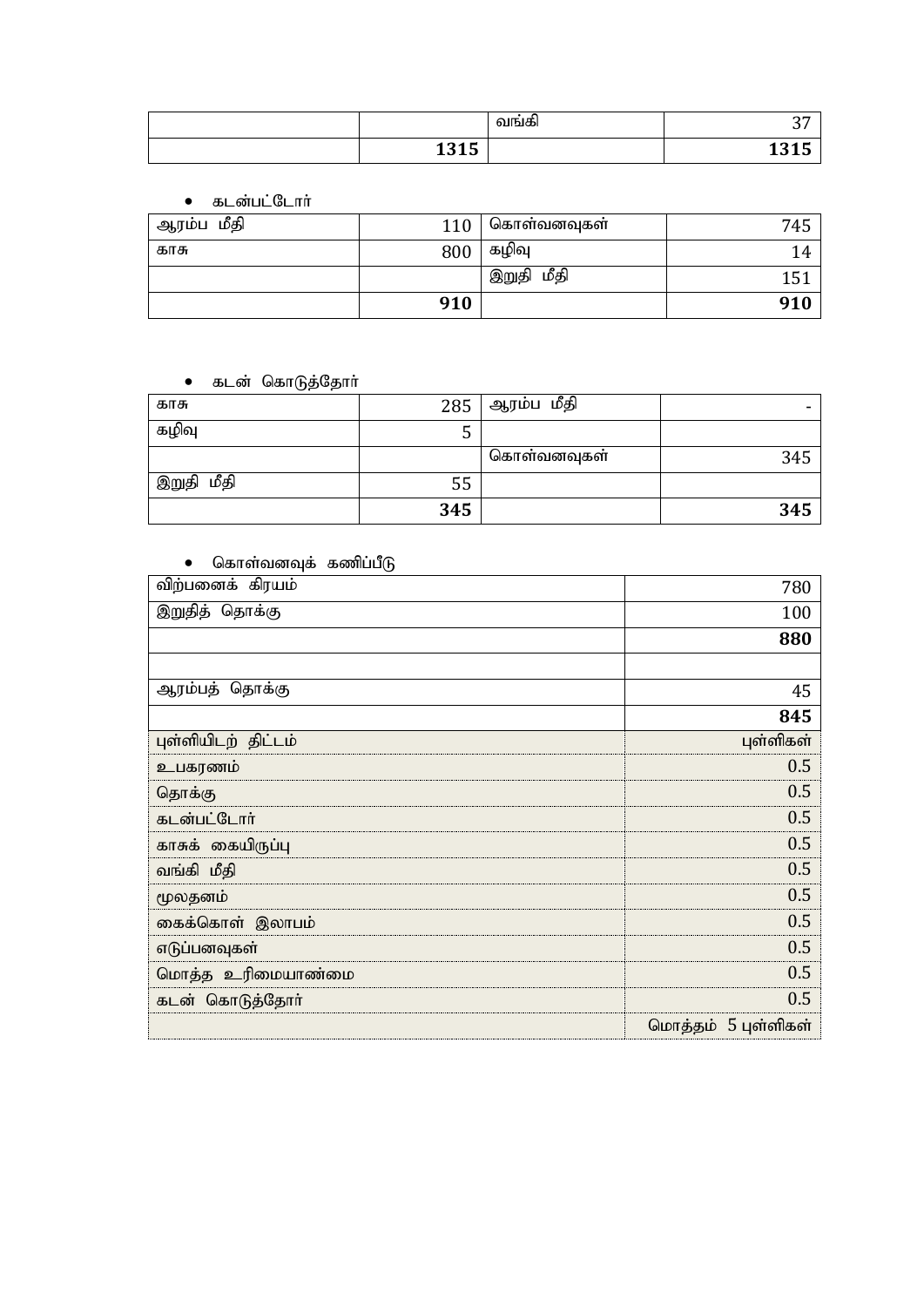|                    | வஙக் | $\sim$<br>ັ  |
|--------------------|------|--------------|
| 121E<br>ъ,<br>TATA |      | 404F<br>TATA |

• கடன்பட்டோர்

| ஆரம்ப மீதி | 110 | கொள்வனவுகள    | 745 |
|------------|-----|---------------|-----|
| காசு       | 800 | கழிவு         | 14  |
|            |     | மீதி<br>இறுதி | 151 |
|            | 910 |               | 910 |

### • கடன் கொடுத்தோா்

| காசு          | 285 | ஆரம்ப மீதி  |     |
|---------------|-----|-------------|-----|
| கழிவு         | . . |             |     |
|               |     | கொள்வனவுகள் | 345 |
| மீதி<br>இறுதி | 55  |             |     |
|               | 345 |             | 345 |

### $\bullet$  கொள்வனவுக் கணிப்பீடு

| விற்பனைக் கிரயம்    | 780                 |
|---------------------|---------------------|
| இறுதித் தொக்கு      | 100                 |
|                     | 880                 |
|                     |                     |
| ஆரம்பத் தொக்கு      | 45                  |
|                     | 845                 |
| புள்ளியிடற் திட்டம் | புள்ளிகள்           |
| உபகரணம்             | 0.5                 |
| தொக்கு              | 0.5                 |
| கடன்பட்டோர்         | 0.5                 |
| காசுக் கையிருப்பு   | 0.5                 |
| வங்கி மீதி          | 0.5                 |
| மூலதனம்             | 0.5                 |
| கைக்கொள் இலாபம்     | 0.5                 |
| எடுப்பனவுகள்        | 0.5                 |
| மொத்த உரிமையாண்மை   | 0.5                 |
| கடன் கொடுத்தோர்     | 0.5                 |
|                     | மொத்தம் 5 புள்ளிகள் |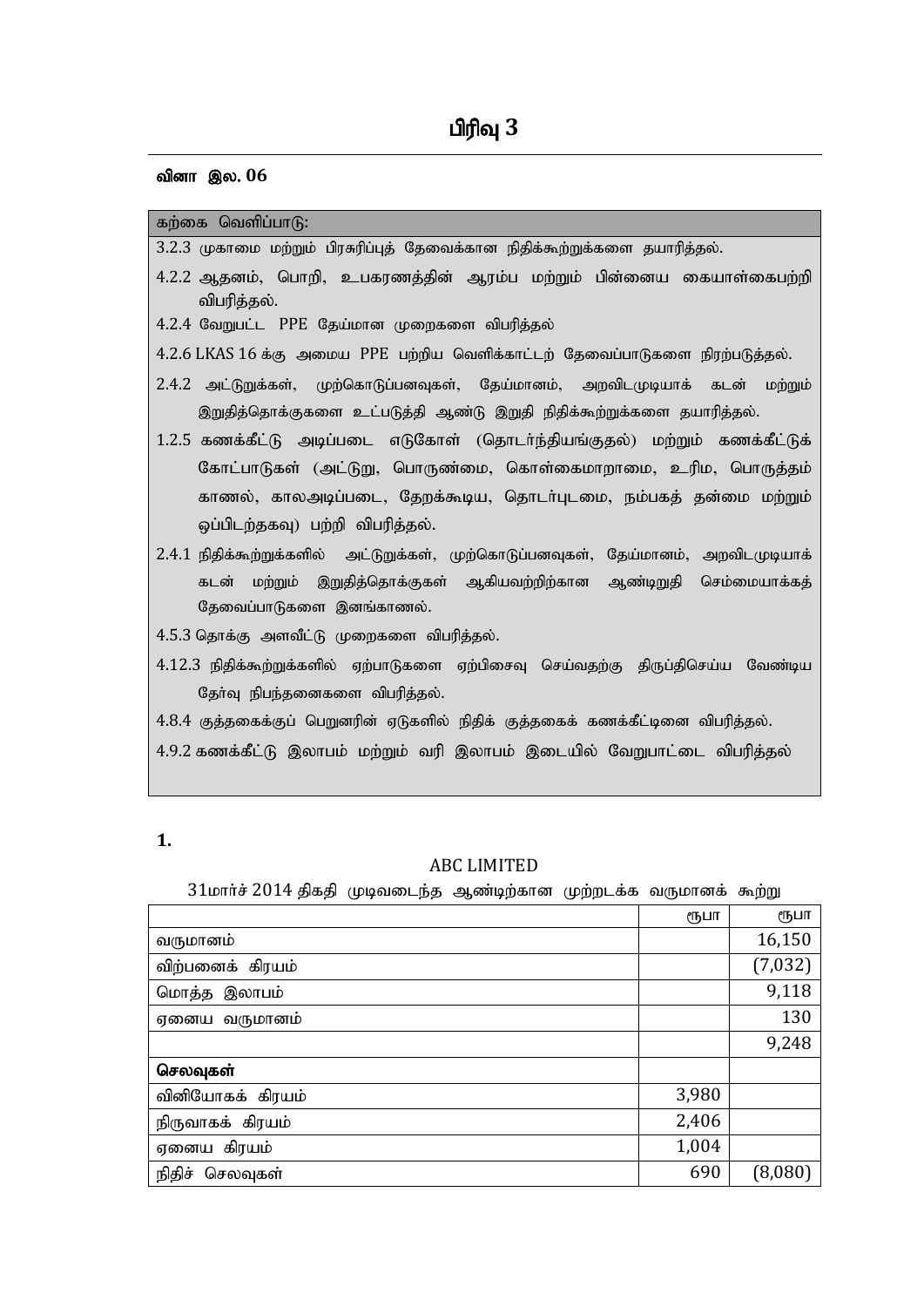#### வினா இல. 06

#### கற்கை வெளிப்பா $(f)$ :

|  |  | 3.2.3 முகாமை மற்றும் பிரசுரிப்புத் தேவைக்கான நிதிக்கூற்றுக்களை தயாரித்தல். |  |
|--|--|----------------------------------------------------------------------------|--|
|  |  |                                                                            |  |

- 4.2.2 ஆதனம், பொறி, உபகரணத்தின் ஆரம்ப மற்றும் பின்னைய கையாள்கைபற்றி விபரித்தல்.
- 4.2.4 வேறுபட்ட PPE தேய்மான முறைகளை விபரித்தல்
- 4.2.6 LKAS 16 க்கு அமைய PPE பற்றிய வெளிக்காட்டற் தேவைப்பாடுகளை நிரற்படுத்தல்.
- 2.4.2 அட்டுறுக்கள், முற்கொடுப்பனவுகள், தேய்மானம், அறவிடமுடியாக் கடன் மற்றும் இறுதித்தொக்குகளை உட்படுத்தி ஆண்டு இறுதி நிதிக்கூற்றுக்களை தயாரித்தல்.
- 1.2.5 கணக்கீட்டு அடிப்படை எடுகோள் (தொடா்ந்தியங்குதல்) மற்றும் கணக்கீட்டுக் கோட்பாடுகள் (அட்டுறு, பொருண்மை, கொள்கைமாறாமை, உரிம, பொருத்தம் காணல், காலஅடிப்படை, தேறக்கூடிய, தொடர்புடமை, நம்பகத் தன்மை மற்றும் ஒப்பிடற்தகவு) பற்றி விபரித்தல்.
- $2.4.1$  நிதிக்கூற்றுக்களில் அட்டுறுக்கள், முற்கொடுப்பனவுகள், தேய்மானம், அறவிடமுடியாக் கடன் மற்றும் இறுதித்தொக்குகள் ஆகியவற்றிற்கான ஆண்டிறுதி செம்மையாக்கத் தேவைப்பாடுகளை இனங்காணல்.
- $4.5.3$  தொக்கு அளவீட்டு முறைகளை விபரித்தல்.
- $4.12.3$  நிதிக்கூற்றுக்களில் ஏற்பாடுகளை ஏற்பிசைவு செய்வதற்கு திருப்திசெய்ய வேண்டிய தேர்வு நிபந்தனைகளை விபரித்தல்.
- $4.8.4$  குத்தகைக்குப் பெறுனரின் ஏடுகளில் நிதிக் குத்தகைக் கணக்கீட்டினை விபரித்தல்.
- 4.9.2 கணக்கீட்டு இலாபம் மற்றும் வரி இலாபம் இடையில் வேறுபாட்டை விபரித்தல்

#### **1.**

#### ABC LIMITED

 $31$ மார்ச் 2014 திகதி முடிவடைந்த ஆண்டிற்கான முற்றடக்க வருமானக் கூற்று

|                    | ரூபா  | ரூபா    |
|--------------------|-------|---------|
| வருமானம்           |       | 16,150  |
| விற்பனைக் கிரயம்   |       | (7,032) |
| மொத்த இலாபம்       |       | 9,118   |
| ஏனைய வருமானம்      |       | 130     |
|                    |       | 9,248   |
| செலவுகள்           |       |         |
| வினியோகக் கிரயம்   | 3,980 |         |
| நிருவாகக் கிரயம்   | 2,406 |         |
| ஏனைய கிரயம்        | 1,004 |         |
| நிதிச்<br>செலவுகள் | 690   | (8,080) |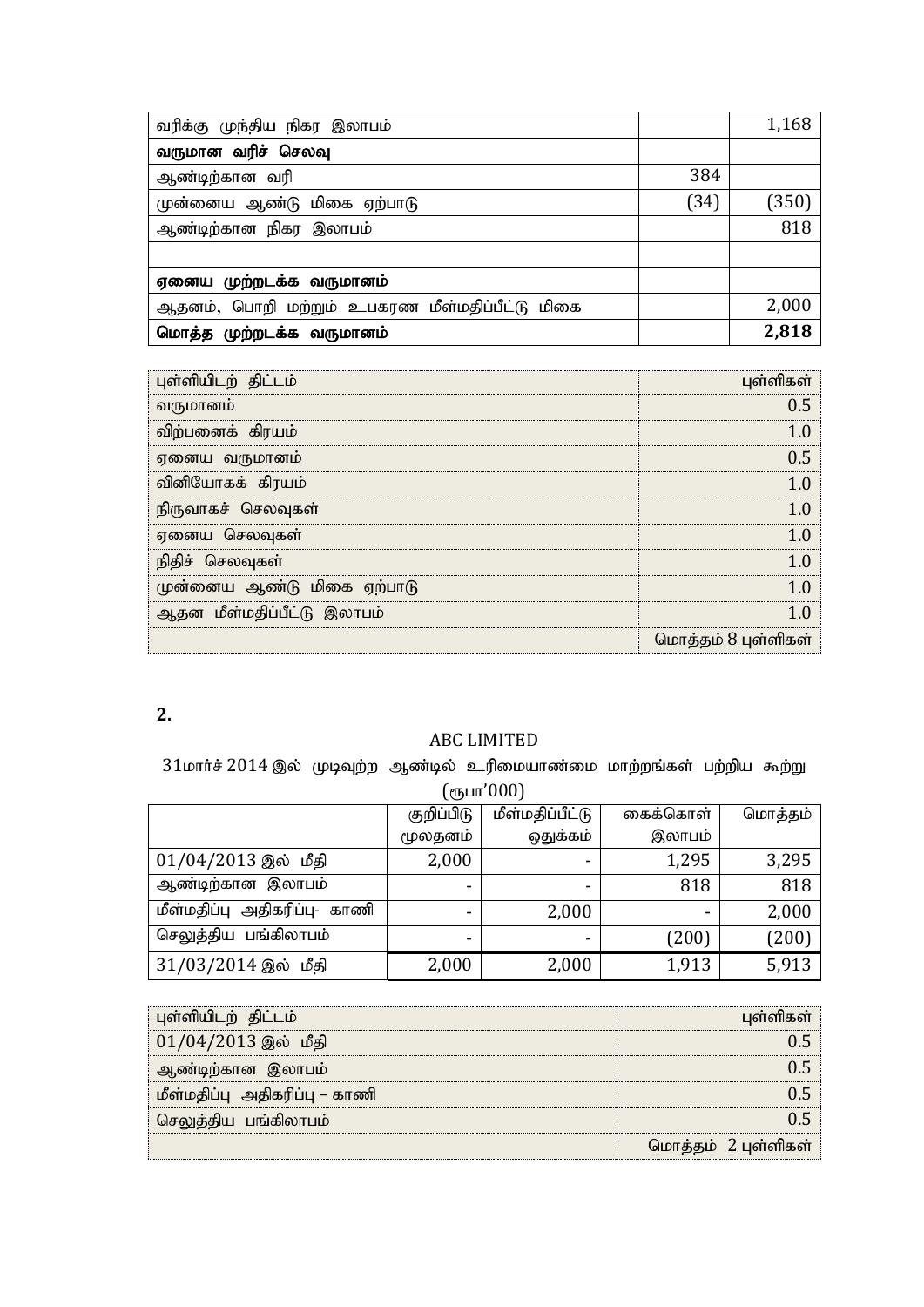| வரிக்கு முந்திய நிகர இலாபம்                    |      | 1,168 |
|------------------------------------------------|------|-------|
| வருமான வரிச் செலவு                             |      |       |
| ஆண்டிற்கான வரி                                 | 384  |       |
| முன்னைய ஆண்டு மிகை ஏற்பாடு                     | (34) | (350) |
| ஆண்டிற்கான நிகர இலாபம்                         |      | 818   |
|                                                |      |       |
| ஏனைய முற்றடக்க வருமானம்                        |      |       |
| ஆதனம், பொறி மற்றும் உபகரண மீள்மதிப்பீட்டு மிகை |      | 2,000 |
| மொத்த முற்றடக்க வருமானம்                       |      | 2,818 |

| புள்ளியிடற் திட்டம்        | புள்ளிகள்           |
|----------------------------|---------------------|
| வருமானம்                   | 0.5                 |
| விற்பனைக் கிரயம்           |                     |
| ஏனைய வருமானம்              | 0 5                 |
| வினியோகக் கிரயம்           | 10                  |
| நிருவாகச் செலவுகள்         |                     |
| ஏனைய செலவுகள்              | 10                  |
| நிதிச் செலவுகள்            | 10                  |
| முன்னைய ஆண்டு மிகை ஏற்பாடு |                     |
| ஆதன மீள்மதிப்பீட்டு இலாபம் |                     |
|                            | மொத்தம் 8 புள்ளிகள் |

### ABC LIMITED

 $31$ மார்ச்  $2014$  இல் முடிவுற்ற ஆண்டில் உரிமையாண்மை மாற்றங்கள் பற்றிய கூற்று  $(e<sub>IF</sub>u<sub>IT</sub>'000)$ 

| ן טטט וום (ווי               |            |                 |                          |         |  |
|------------------------------|------------|-----------------|--------------------------|---------|--|
|                              | குறிப்பிடு | மீள்மதிப்பீட்டு | கைக்கொள்                 | மொத்தம் |  |
|                              | மூலதனம்    | ஒதுக்கம்        | இலாபம்                   |         |  |
| $01/04/2013$ இல் மீதி        | 2,000      | -               | 1,295                    | 3,295   |  |
| ஆண்டிற்கான இலாபம்            |            |                 | 818                      | 818     |  |
| மீள்மதிப்பு அதிகரிப்பு- காணி |            | 2,000           | $\overline{\phantom{0}}$ | 2,000   |  |
| செலுத்திய பங்கிலாபம்         | ۰          |                 | (200)                    | (200)   |  |
| 31/03/2014 இல் மீதி          | 2,000      | 2,000           | 1,913                    | 5,913   |  |

| புள்ளியிடற் திட்டம்           |                     |
|-------------------------------|---------------------|
| $01/04/2013$ இல் மீதி         |                     |
| ஆண்டிற்கான இலாபம்             |                     |
| மீள்மதிப்பு அதிகரிப்பு – காணி |                     |
| திய பங்கிலாபம்                |                     |
|                               | மொத்தம் 2 புள்ளிகள் |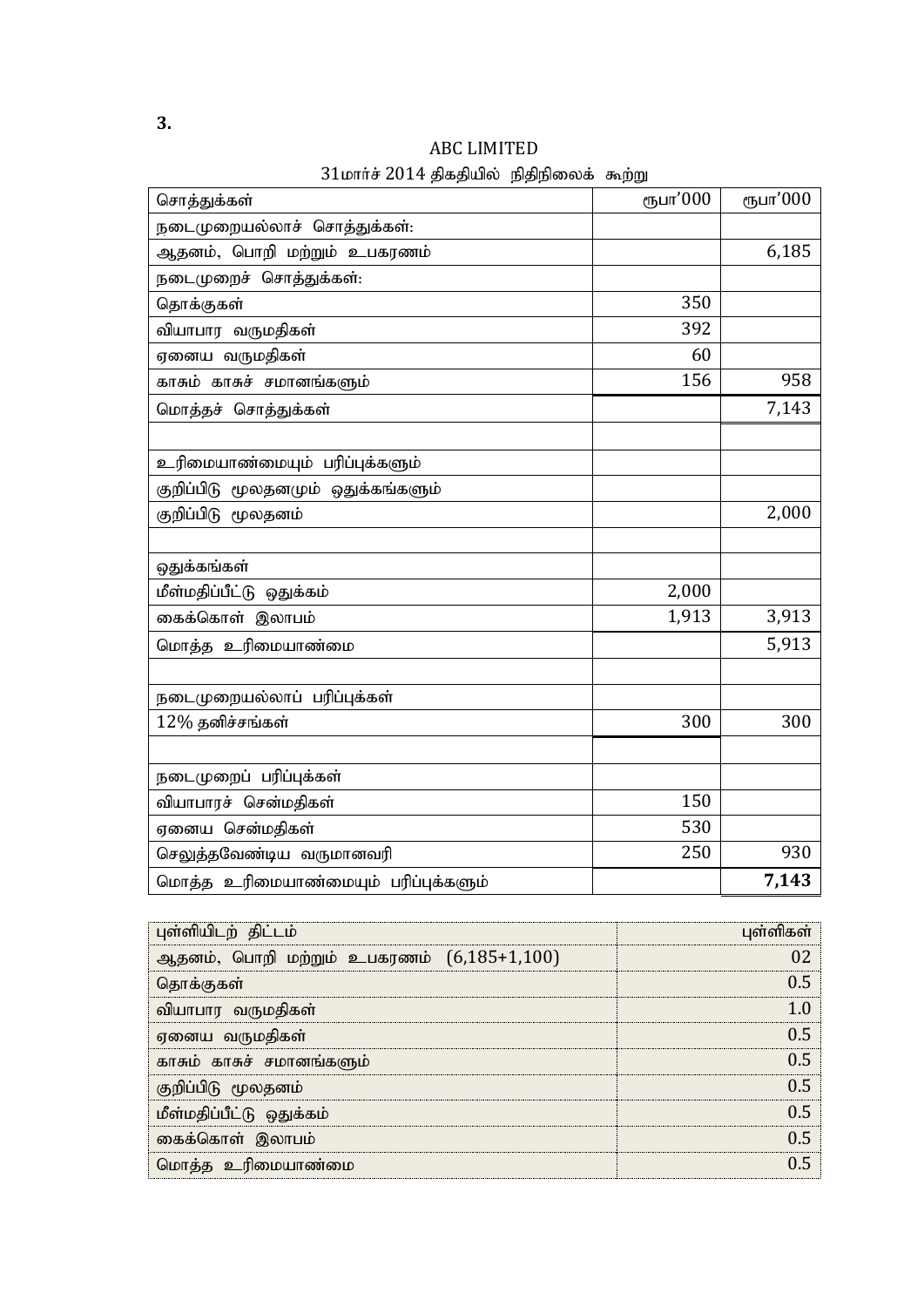| சொத்துக்கள்                          | ரூபா'000 | ரூபா'000 |
|--------------------------------------|----------|----------|
| நடைமுறையல்லாச் சொத்துக்கள்:          |          |          |
| ஆதனம், பொறி மற்றும் உபகரணம்          |          | 6,185    |
| நடைமுறைச் சொத்துக்கள்:               |          |          |
| தொக்குகள்                            | 350      |          |
| வியாபார வருமதிகள்                    | 392      |          |
| ஏனைய வருமதிகள்                       | 60       |          |
| காசும் காசுச் சமானங்களும்            | 156      | 958      |
| மொத்தச் சொத்துக்கள்                  |          | 7,143    |
|                                      |          |          |
| உரிமையாண்மையும் பரிப்புக்களும்       |          |          |
| குறிப்பிடு மூலதனமும் ஒதுக்கங்களும்   |          |          |
| குறிப்பிடு மூலதனம்                   |          | 2,000    |
|                                      |          |          |
| ஒதுக்கங்கள்                          |          |          |
| மீள்மதிப்பீட்டு ஒதுக்கம்             | 2,000    |          |
| கைக்கொள் இலாபம்                      | 1,913    | 3,913    |
| மொத்த உரிமையாண்மை                    |          | 5,913    |
|                                      |          |          |
| நடைமுறையல்லாப் பரிப்புக்கள்          |          |          |
| 12% தனிச்சங்கள்                      | 300      | 300      |
|                                      |          |          |
| நடைமுறைப் பரிப்புக்கள்               |          |          |
| வியாபாரச் சென்மதிகள்                 | 150      |          |
| ஏனைய சென்மதிகள்                      | 530      |          |
| செலுத்தவேண்டிய வருமானவரி             | 250      | 930      |
| மொத்த உரிமையாண்மையும் பரிப்புக்களும் |          | 7,143    |

## ABC LIMITED  $31$ மார்ச்  $2014$  திகதியில் நிதிநிலைக் கூற்று

| புள்ளியிடற் திட்டம்                         | பள்ளிகள் |
|---------------------------------------------|----------|
| ஆதனம், பொறி மற்றும் உபகரணம் $(6,185+1,100)$ |          |
| தொக்குகள்                                   |          |
| வியாபார வருமதிகள்                           |          |
| ஏனைய வருமதிகள்                              |          |
| காசும் காசுச் சமானங்களும்                   |          |
| குறிப்பிடு மூலதனம்                          |          |
| மீள்மதிப்பீட்டு ஒதுக்கம்                    |          |
| கைக்கொள் இலாபம்                             |          |
| மொத்த உரிமையாண்மை                           |          |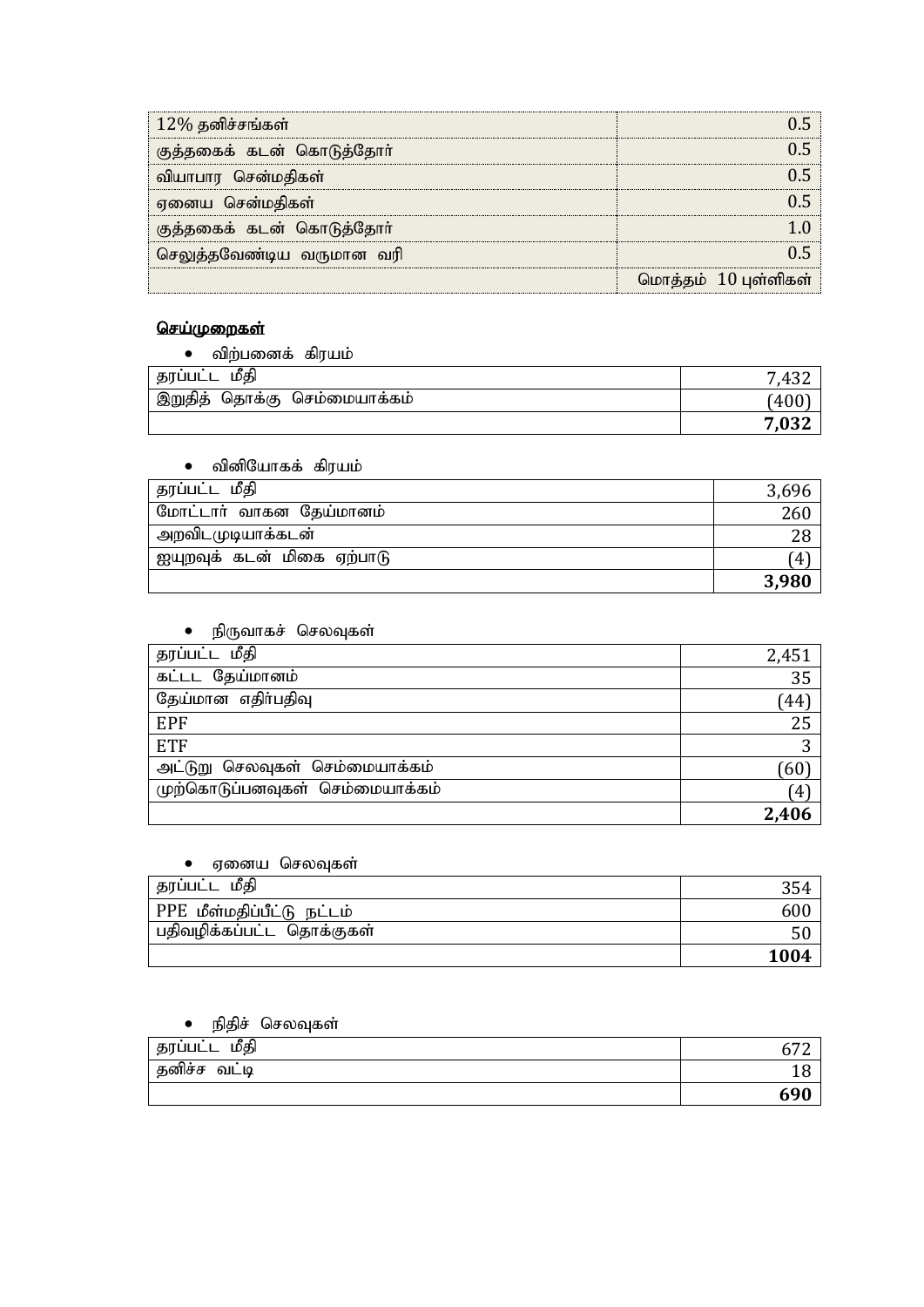| $12\%$ தனிச்சங்கள்        |                      |
|---------------------------|----------------------|
| குத்தகைக் கடன் கொடுத்தோா் |                      |
| வியாபார சென்மதிகள்        |                      |
| ஏனைய சென்மதிகள்           |                      |
| குத்தகைக் கடன் கொடுத்தோா் |                      |
| செலுத்தவேண்டிய வருமான வரி |                      |
|                           | மொத்தம் 10 புள்ளிகள் |

## <u>செய்முறைகள்</u>

|  | விற்பனைக் கிரயம் |  |
|--|------------------|--|
|--|------------------|--|

| மீகி<br>தரப்பட்ட                | .    |
|---------------------------------|------|
| இறுதித்<br>தொக்கு செம்மையாக்கம் | 140e |
|                                 |      |

#### $\bullet$  வினியோகக் கிரயம்

| ' தரப்பட்ட மீதி            |       |
|----------------------------|-------|
| மோட்டார் வாகன தேய்மானம்    | 260   |
| அறவிடமுடியாக்கடன்          |       |
| ஐயுறவுக் கடன் மிகை ஏற்பாடு | 4     |
|                            | 3,980 |

## • நிருவாகச் செலவுகள்

| தரப்பட்ட மீதி                   | 2,451             |
|---------------------------------|-------------------|
| கட்டட தேய்மானம்                 | 35                |
| தேய்மான எதிர்பதிவு              | $\left(44\right)$ |
| EPF                             | 25                |
| <b>ETF</b>                      |                   |
| அட்டுறு செலவுகள் செம்மையாக்கம்  | $60^\circ$        |
| முற்கொடுப்பனவுகள் செம்மையாக்கம் | (4)               |
|                                 | 2,406             |

### • ஏனைய செலவுகள்

| தரப்பட்ட மீதி              | ა๖≁  |
|----------------------------|------|
| PPE மீள்மதிப்பீட்டு நட்டம் | ουι  |
| பதிவழிக்கப்பட்ட தொக்குகள்  | 50   |
|                            | 1004 |

### • நிதிச் செலவுகள்

| மீதி<br>தரப்பட்ட | $\overline{a}$ |
|------------------|----------------|
| வட்டி<br>தனிசச   |                |
|                  | 690            |